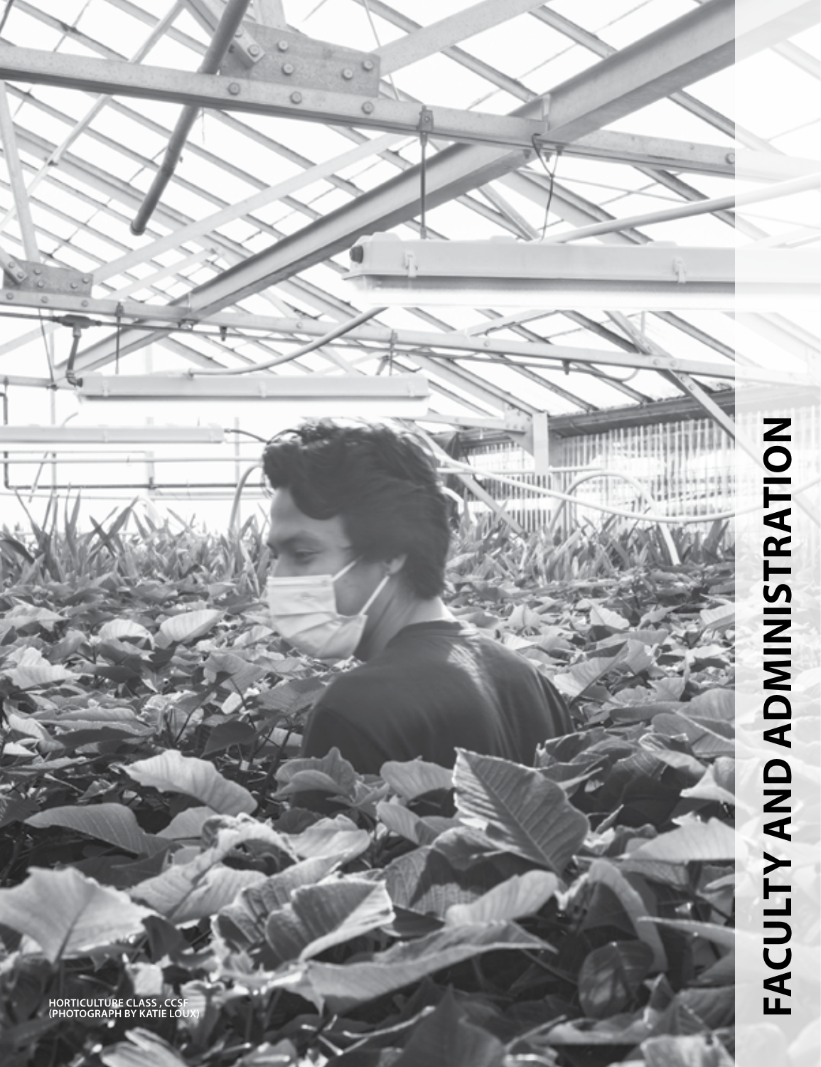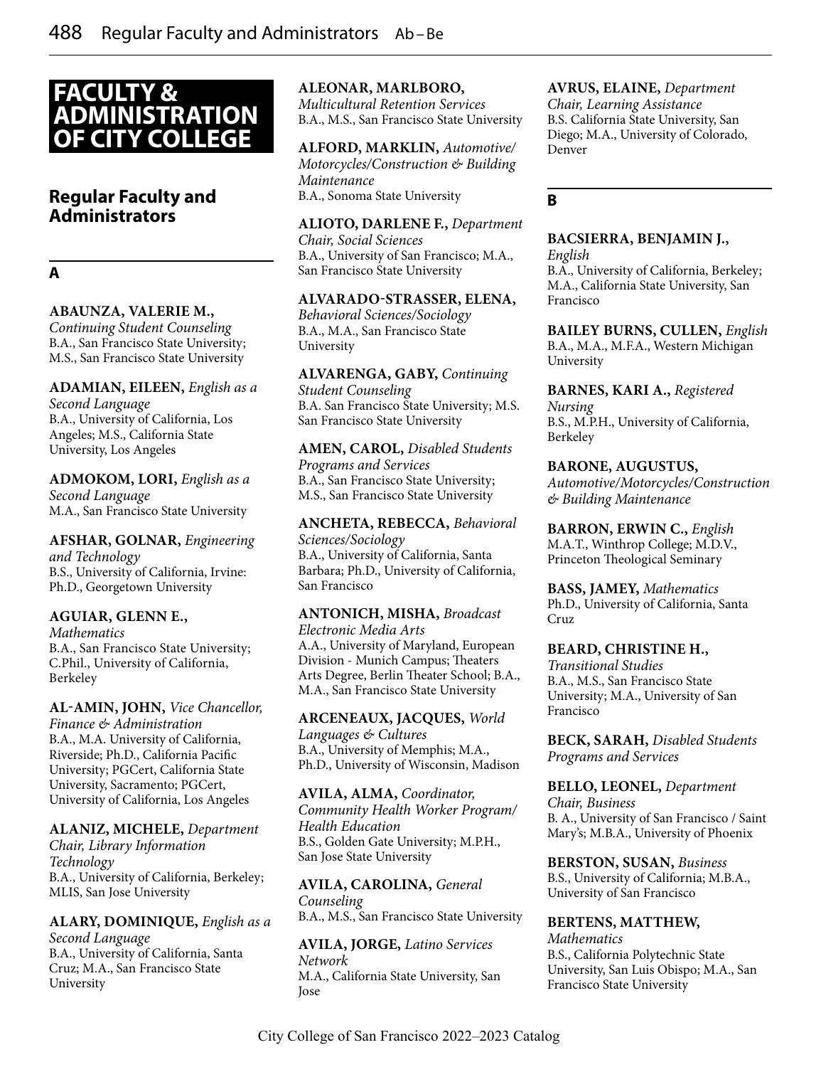# **FACULTY & ADMINISTRATION OF CITY COLLEGE**

# **Regular Faculty and Administrators**

# **A**

## **ABAUNZA, VALERIE M.,**

*Continuing Student Counseling* B.A., San Francisco State University; M.S., San Francisco State University

**ADAMIAN, EILEEN,** *English as a Second Language* B.A., University of California, Los Angeles; M.S., California State University, Los Angeles

**ADMOKOM, LORI,** *English as a Second Language* M.A., San Francisco State University

**AFSHAR, GOLNAR,** *Engineering and Technology* B.S., University of California, Irvine: Ph.D., Georgetown University

#### **AGUIAR, GLENN E.,**

*Mathematics* B.A., San Francisco State University; C.Phil., University of California, Berkeley

**AL-AMIN, JOHN,** *Vice Chancellor, Finance & Administration* B.A., M.A. University of California, Riverside; Ph.D., California Pacific University; PGCert, California State University, Sacramento; PGCert, University of California, Los Angeles

#### **ALANIZ, MICHELE,** *Department*

*Chair, Library Information Technology* B.A., University of California, Berkeley; MLIS, San Jose University

# **ALARY, DOMINIQUE,** *English as a*

*Second Language* B.A., University of California, Santa Cruz; M.A., San Francisco State University

#### **ALEONAR, MARLBORO,**

*Multicultural Retention Services* B.A., M.S., San Francisco State University

# **ALFORD, MARKLIN,** *Automotive/*

*Motorcycles/Construction & Building Maintenance* B.A., Sonoma State University

#### **ALIOTO, DARLENE F.,** *Department*

*Chair, Social Sciences* B.A., University of San Francisco; M.A., San Francisco State University

#### **ALVARADO-STRASSER, ELENA,**

*Behavioral Sciences/Sociology* B.A., M.A., San Francisco State University

**ALVARENGA, GABY,** *Continuing Student Counseling* B.A. San Francisco State University; M.S. San Francisco State University

# **AMEN, CAROL,** *Disabled Students*

*Programs and Services* B.A., San Francisco State University; M.S., San Francisco State University

**ANCHETA, REBECCA,** *Behavioral Sciences/Sociology* B.A., University of California, Santa Barbara; Ph.D., University of California, San Francisco

#### **ANTONICH, MISHA,** *Broadcast Electronic Media Arts*

A.A., University of Maryland, European Division - Munich Campus; Theaters Arts Degree, Berlin Theater School; B.A., M.A., San Francisco State University

**ARCENEAUX, JACQUES,** *World Languages & Cultures* B.A., University of Memphis; M.A., Ph.D., University of Wisconsin, Madison

**AVILA, ALMA,** *Coordinator, Community Health Worker Program/ Health Education* B.S., Golden Gate University; M.P.H., San Jose State University

**AVILA, CAROLINA,** *General Counseling* B.A., M.S., San Francisco State University

**AVILA, JORGE,** *Latino Services Network* M.A., California State University, San Jose

#### **AVRUS, ELAINE,** *Department*

*Chair, Learning Assistance* B.S. California State University, San Diego; M.A., University of Colorado, Denver

## **B**

#### **BACSIERRA, BENJAMIN J.,**

*English* B.A., University of California, Berkeley; M.A., California State University, San Francisco

**BAILEY BURNS, CULLEN,** *English* B.A., M.A., M.F.A., Western Michigan University

**BARNES, KARI A.,** *Registered Nursing* B.S., M.P.H., University of California, Berkeley

#### **BARONE, AUGUSTUS,**

*Automotive/Motorcycles/Construction & Building Maintenance*

**BARRON, ERWIN C.,** *English* M.A.T., Winthrop College; M.D.V., Princeton Theological Seminary

**BASS, JAMEY,** *Mathematics* Ph.D., University of California, Santa Cruz

#### **BEARD, CHRISTINE H.,**

*Transitional Studies* B.A., M.S., San Francisco State University; M.A., University of San Francisco

**BECK, SARAH,** *Disabled Students Programs and Services*

**BELLO, LEONEL,** *Department Chair, Business* B. A., University of San Francisco / Saint Mary's; M.B.A., University of Phoenix

**BERSTON, SUSAN,** *Business* B.S., University of California; M.B.A., University of San Francisco

#### **BERTENS, MATTHEW,**

*Mathematics* B.S., California Polytechnic State University, San Luis Obispo; M.A., San Francisco State University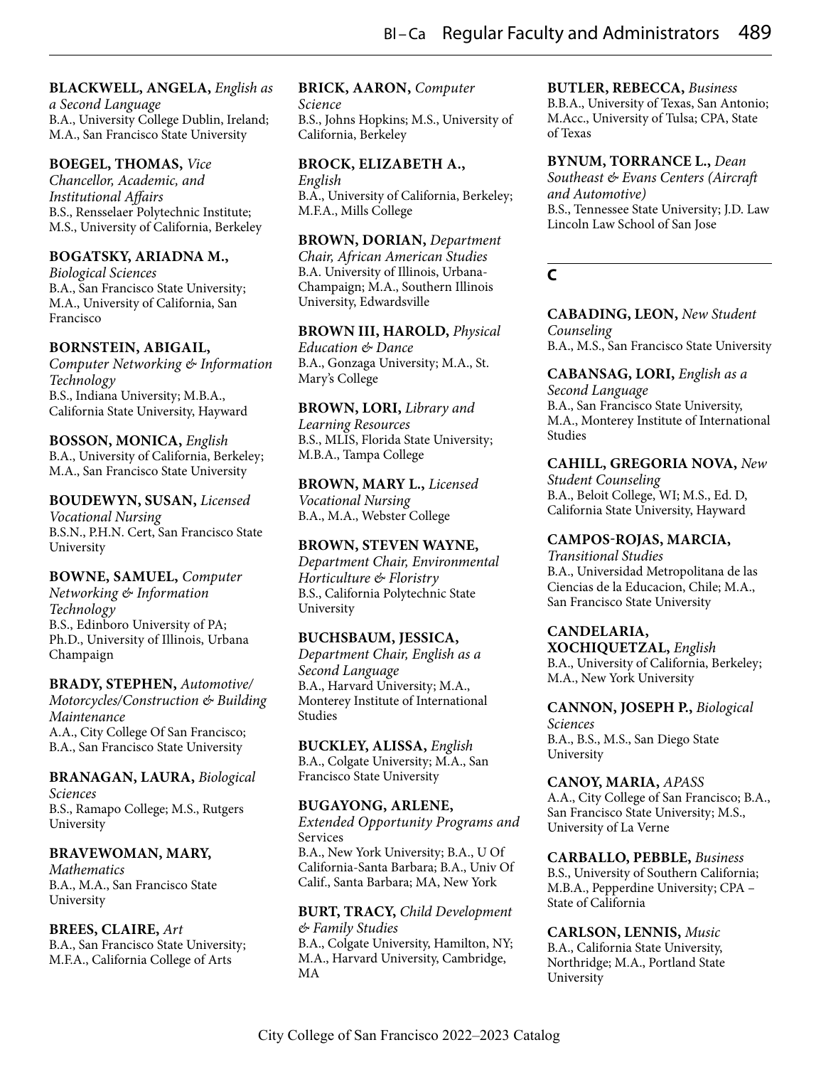#### **BLACKWELL, ANGELA,** *English as*

*a Second Language* B.A., University College Dublin, Ireland; M.A., San Francisco State University

#### **BOEGEL, THOMAS,** *Vice*

*Chancellor, Academic, and Institutional Affairs* B.S., Rensselaer Polytechnic Institute; M.S., University of California, Berkeley

#### **BOGATSKY, ARIADNA M.,**

*Biological Sciences* B.A., San Francisco State University; M.A., University of California, San Francisco

#### **BORNSTEIN, ABIGAIL,**

*Computer Networking & Information Technology* B.S., Indiana University; M.B.A., California State University, Hayward

#### **BOSSON, MONICA,** *English*

B.A., University of California, Berkeley; M.A., San Francisco State University

#### **BOUDEWYN, SUSAN,** *Licensed*

*Vocational Nursing* B.S.N., P.H.N. Cert, San Francisco State University

# **BOWNE, SAMUEL,** *Computer*

*Networking & Information Technology* B.S., Edinboro University of PA; Ph.D., University of Illinois, Urbana Champaign

#### **BRADY, STEPHEN,** *Automotive/*

*Motorcycles/Construction & Building Maintenance* A.A., City College Of San Francisco; B.A., San Francisco State University

# **BRANAGAN, LAURA,** *Biological*

*Sciences* B.S., Ramapo College; M.S., Rutgers University

# **BRAVEWOMAN, MARY,**

*Mathematics* B.A., M.A., San Francisco State University

#### **BREES, CLAIRE,** *Art* B.A., San Francisco State University; M.F.A., California College of Arts

# **BRICK, AARON,** *Computer*

*Science* B.S., Johns Hopkins; M.S., University of California, Berkeley

**BROCK, ELIZABETH A.,** *English* B.A., University of California, Berkeley; M.F.A., Mills College

**BROWN, DORIAN,** *Department* 

*Chair, African American Studies* B.A. University of Illinois, Urbana-Champaign; M.A., Southern Illinois University, Edwardsville

# **BROWN III, HAROLD,** *Physical*

*Education & Dance* B.A., Gonzaga University; M.A., St. Mary's College

**BROWN, LORI,** *Library and Learning Resources* B.S., MLIS, Florida State University; M.B.A., Tampa College

**BROWN, MARY L.,** *Licensed Vocational Nursing* B.A., M.A., Webster College

#### **BROWN, STEVEN WAYNE,**

*Department Chair, Environmental Horticulture & Floristry* B.S., California Polytechnic State University

## **BUCHSBAUM, JESSICA,**

*Department Chair, English as a Second Language* B.A., Harvard University; M.A., Monterey Institute of International Studies

**BUCKLEY, ALISSA,** *English* B.A., Colgate University; M.A., San Francisco State University

## **BUGAYONG, ARLENE,**

*Extended Opportunity Programs and*  Services B.A., New York University; B.A., U Of California-Santa Barbara; B.A., Univ Of Calif., Santa Barbara; MA, New York

#### **BURT, TRACY,** *Child Development & Family Studies*

B.A., Colgate University, Hamilton, NY; M.A., Harvard University, Cambridge, MA

# **BUTLER, REBECCA,** *Business*

B.B.A., University of Texas, San Antonio; M.Acc., University of Tulsa; CPA, State of Texas

**BYNUM, TORRANCE L.,** *Dean Southeast & Evans Centers (Aircraft and Automotive)* B.S., Tennessee State University; J.D. Law Lincoln Law School of San Jose

# **C**

**CABADING, LEON,** *New Student Counseling* B.A., M.S., San Francisco State University

**CABANSAG, LORI,** *English as a Second Language* B.A., San Francisco State University, M.A., Monterey Institute of International Studies

**CAHILL, GREGORIA NOVA,** *New* 

*Student Counseling* B.A., Beloit College, WI; M.S., Ed. D, California State University, Hayward

#### **CAMPOS-ROJAS, MARCIA,**

*Transitional Studies* B.A., Universidad Metropolitana de las Ciencias de la Educacion, Chile; M.A., San Francisco State University

# **CANDELARIA,**

**XOCHIQUETZAL,** *English* B.A., University of California, Berkeley; M.A., New York University

**CANNON, JOSEPH P.,** *Biological Sciences*

B.A., B.S., M.S., San Diego State University

**CANOY, MARIA,** *APASS* A.A., City College of San Francisco; B.A., San Francisco State University; M.S., University of La Verne

**CARBALLO, PEBBLE,** *Business* B.S., University of Southern California; M.B.A., Pepperdine University; CPA – State of California

#### **CARLSON, LENNIS,** *Music* B.A., California State University, Northridge; M.A., Portland State

University

City College of San Francisco 2022–2023 Catalog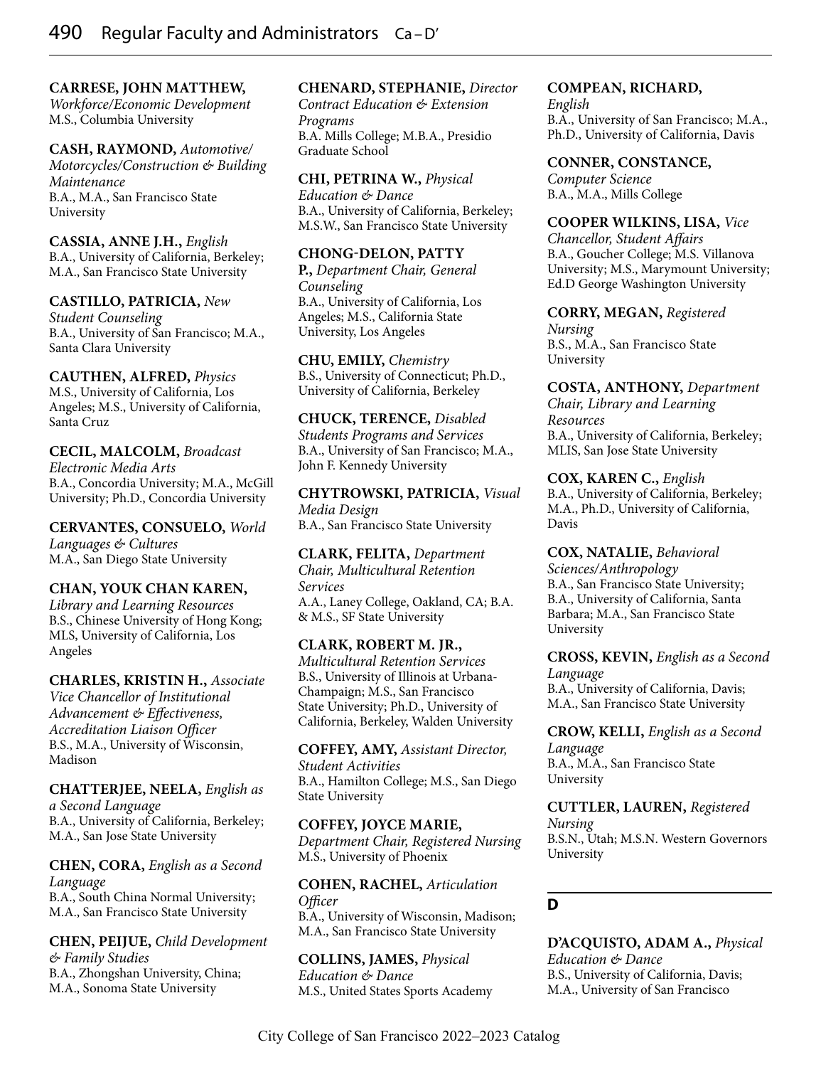#### **CARRESE, JOHN MATTHEW,**

*Workforce/Economic Development* M.S., Columbia University

**CASH, RAYMOND,** *Automotive/*

*Motorcycles/Construction & Building Maintenance* B.A., M.A., San Francisco State University

**CASSIA, ANNE J.H.,** *English* B.A., University of California, Berkeley; M.A., San Francisco State University

**CASTILLO, PATRICIA,** *New Student Counseling* B.A., University of San Francisco; M.A., Santa Clara University

**CAUTHEN, ALFRED,** *Physics* M.S., University of California, Los Angeles; M.S., University of California, Santa Cruz

**CECIL, MALCOLM,** *Broadcast Electronic Media Arts* B.A., Concordia University; M.A., McGill University; Ph.D., Concordia University

**CERVANTES, CONSUELO,** *World Languages & Cultures* M.A., San Diego State University

## **CHAN, YOUK CHAN KAREN,**

*Library and Learning Resources* B.S., Chinese University of Hong Kong; MLS, University of California, Los Angeles

**CHARLES, KRISTIN H.,** *Associate Vice Chancellor of Institutional Advancement & Effectiveness, Accreditation Liaison Officer* B.S., M.A., University of Wisconsin, Madison

**CHATTERJEE, NEELA,** *English as a Second Language* B.A., University of California, Berkeley; M.A., San Jose State University

**CHEN, CORA,** *English as a Second Language* B.A., South China Normal University; M.A., San Francisco State University

**CHEN, PEIJUE,** *Child Development & Family Studies* B.A., Zhongshan University, China; M.A., Sonoma State University

## **CHENARD, STEPHANIE,** *Director*

*Contract Education & Extension Programs* B.A. Mills College; M.B.A., Presidio Graduate School

**CHI, PETRINA W.,** *Physical Education & Dance* B.A., University of California, Berkeley; M.S.W., San Francisco State University

**CHONG-DELON, PATTY P.,** *Department Chair, General Counseling* B.A., University of California, Los Angeles; M.S., California State University, Los Angeles

**CHU, EMILY,** *Chemistry* B.S., University of Connecticut; Ph.D., University of California, Berkeley

**CHUCK, TERENCE,** *Disabled Students Programs and Services* B.A., University of San Francisco; M.A., John F. Kennedy University

**CHYTROWSKI, PATRICIA,** *Visual Media Design* B.A., San Francisco State University

**CLARK, FELITA,** *Department Chair, Multicultural Retention Services* A.A., Laney College, Oakland, CA; B.A. & M.S., SF State University

**CLARK, ROBERT M. JR.,** *Multicultural Retention Services* B.S., University of Illinois at Urbana-Champaign; M.S., San Francisco State University; Ph.D., University of California, Berkeley, Walden University

**COFFEY, AMY,** *Assistant Director, Student Activities* B.A., Hamilton College; M.S., San Diego State University

**COFFEY, JOYCE MARIE,** *Department Chair, Registered Nursing* M.S., University of Phoenix

**COHEN, RACHEL,** *Articulation Officer* B.A., University of Wisconsin, Madison; M.A., San Francisco State University

**COLLINS, JAMES,** *Physical Education & Dance* M.S., United States Sports Academy

#### **COMPEAN, RICHARD,**

*English* B.A., University of San Francisco; M.A., Ph.D., University of California, Davis

**CONNER, CONSTANCE,**

*Computer Science* B.A., M.A., Mills College

**COOPER WILKINS, LISA,** *Vice Chancellor, Student Affairs* B.A., Goucher College; M.S. Villanova University; M.S., Marymount University; Ed.D George Washington University

**CORRY, MEGAN,** *Registered Nursing* B.S., M.A., San Francisco State University

**COSTA, ANTHONY,** *Department Chair, Library and Learning Resources* B.A., University of California, Berkeley; MLIS, San Jose State University

**COX, KAREN C.,** *English* B.A., University of California, Berkeley; M.A., Ph.D., University of California, Davis

**COX, NATALIE,** *Behavioral* 

*Sciences/Anthropology* B.A., San Francisco State University; B.A., University of California, Santa Barbara; M.A., San Francisco State University

**CROSS, KEVIN,** *English as a Second Language* B.A., University of California, Davis; M.A., San Francisco State University

**CROW, KELLI,** *English as a Second Language* B.A., M.A., San Francisco State University

**CUTTLER, LAUREN,** *Registered Nursing* B.S.N., Utah; M.S.N. Western Governors University

# **D**

**D'ACQUISTO, ADAM A.,** *Physical Education & Dance* B.S., University of California, Davis; M.A., University of San Francisco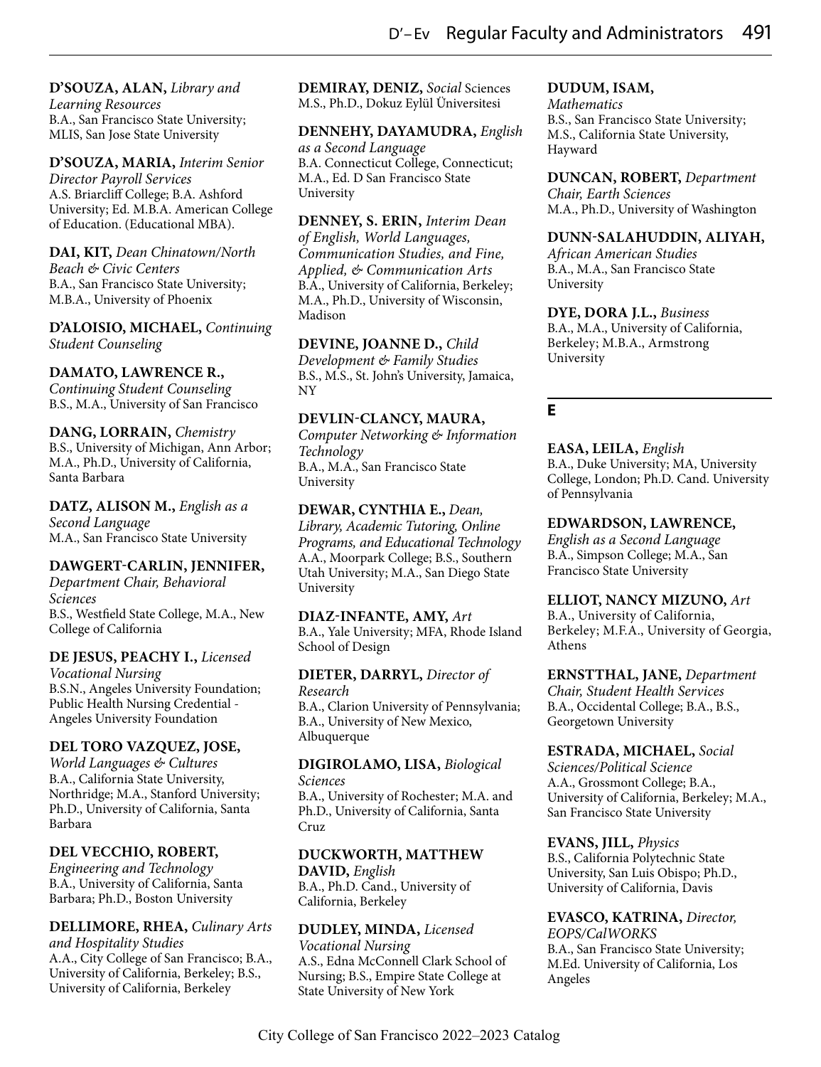# **D'SOUZA, ALAN,** *Library and*

*Learning Resources* B.A., San Francisco State University; MLIS, San Jose State University

**D'SOUZA, MARIA,** *Interim Senior Director Payroll Services* A.S. Briarcliff College; B.A. Ashford University; Ed. M.B.A. American College of Education. (Educational MBA).

**DAI, KIT,** *Dean Chinatown/North Beach & Civic Centers* B.A., San Francisco State University; M.B.A., University of Phoenix

**D'ALOISIO, MICHAEL,** *Continuing Student Counseling*

## **DAMATO, LAWRENCE R.,**

*Continuing Student Counseling* B.S., M.A., University of San Francisco

# **DANG, LORRAIN,** *Chemistry*

B.S., University of Michigan, Ann Arbor; M.A., Ph.D., University of California, Santa Barbara

**DATZ, ALISON M.,** *English as a Second Language* M.A., San Francisco State University

## **DAWGERT-CARLIN, JENNIFER,**

*Department Chair, Behavioral Sciences* B.S., Westfield State College, M.A., New College of California

#### **DE JESUS, PEACHY I.,** *Licensed*

*Vocational Nursing* B.S.N., Angeles University Foundation; Public Health Nursing Credential - Angeles University Foundation

## **DEL TORO VAZQUEZ, JOSE,**

*World Languages & Cultures* B.A., California State University, Northridge; M.A., Stanford University; Ph.D., University of California, Santa Barbara

# **DEL VECCHIO, ROBERT,**

*Engineering and Technology* B.A., University of California, Santa Barbara; Ph.D., Boston University

# **DELLIMORE, RHEA,** *Culinary Arts*

*and Hospitality Studies* A.A., City College of San Francisco; B.A., University of California, Berkeley; B.S., University of California, Berkeley

**DEMIRAY, DENIZ,** *Social* Sciences M.S., Ph.D., Dokuz Eylül Üniversitesi

#### **DENNEHY, DAYAMUDRA,** *English as a Second Language*

B.A. Connecticut College, Connecticut; M.A., Ed. D San Francisco State University

**DENNEY, S. ERIN,** *Interim Dean of English, World Languages, Communication Studies, and Fine, Applied, & Communication Arts* B.A., University of California, Berkeley; M.A., Ph.D., University of Wisconsin, Madison

#### **DEVINE, JOANNE D.,** *Child*

*Development & Family Studies* B.S., M.S., St. John's University, Jamaica, NY

## **DEVLIN-CLANCY, MAURA,**

*Computer Networking & Information Technology* B.A., M.A., San Francisco State University

**DEWAR, CYNTHIA E.,** *Dean, Library, Academic Tutoring, Online Programs, and Educational Technology*  A.A., Moorpark College; B.S., Southern Utah University; M.A., San Diego State University

**DIAZ-INFANTE, AMY,** *Art* B.A., Yale University; MFA, Rhode Island School of Design

**DIETER, DARRYL,** *Director of Research* B.A., Clarion University of Pennsylvania; B.A., University of New Mexico, Albuquerque

#### **DIGIROLAMO, LISA,** *Biological Sciences*

B.A., University of Rochester; M.A. and Ph.D., University of California, Santa Cruz

# **DUCKWORTH, MATTHEW**

**DAVID,** *English* B.A., Ph.D. Cand., University of California, Berkeley

**DUDLEY, MINDA,** *Licensed Vocational Nursing* A.S., Edna McConnell Clark School of Nursing; B.S., Empire State College at State University of New York

# **DUDUM, ISAM,**

*Mathematics* B.S., San Francisco State University; M.S., California State University, Hayward

**DUNCAN, ROBERT,** *Department Chair, Earth Sciences*

M.A., Ph.D., University of Washington

## **DUNN-SALAHUDDIN, ALIYAH,**

*African American Studies* B.A., M.A., San Francisco State University

**DYE, DORA J.L.,** *Business* B.A., M.A., University of California, Berkeley; M.B.A., Armstrong University

# **E**

**EASA, LEILA,** *English* B.A., Duke University; MA, University College, London; Ph.D. Cand. University of Pennsylvania

## **EDWARDSON, LAWRENCE,**

*English as a Second Language* B.A., Simpson College; M.A., San Francisco State University

#### **ELLIOT, NANCY MIZUNO,** *Art*

B.A., University of California, Berkeley; M.F.A., University of Georgia, Athens

**ERNSTTHAL, JANE,** *Department Chair, Student Health Services* B.A., Occidental College; B.A., B.S.,

Georgetown University

## **ESTRADA, MICHAEL,** *Social*

*Sciences/Political Science* A.A., Grossmont College; B.A., University of California, Berkeley; M.A., San Francisco State University

## **EVANS, JILL,** *Physics*

B.S., California Polytechnic State University, San Luis Obispo; Ph.D., University of California, Davis

**EVASCO, KATRINA,** *Director, EOPS/CalWORKS* B.A., San Francisco State University; M.Ed. University of California, Los

Angeles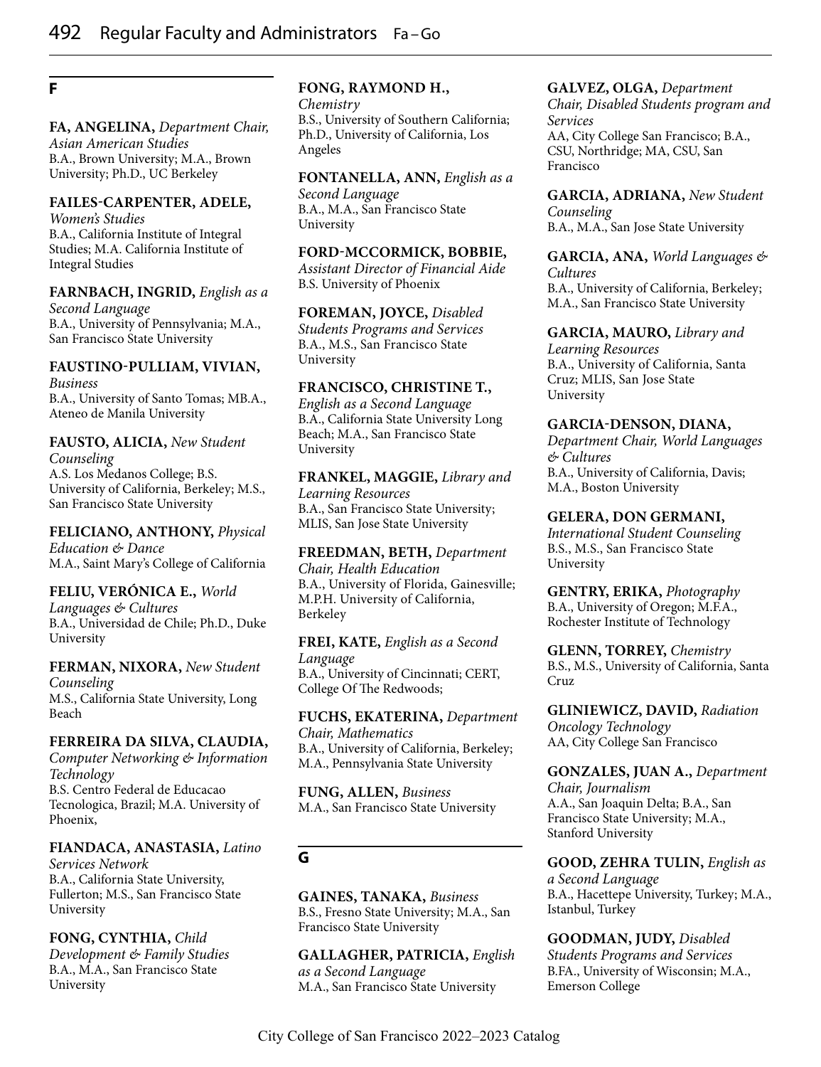# **F**

#### **FA, ANGELINA,** *Department Chair,*

*Asian American Studies* B.A., Brown University; M.A., Brown University; Ph.D., UC Berkeley

#### **FAILES-CARPENTER, ADELE,**

*Women's Studies* B.A., California Institute of Integral Studies; M.A. California Institute of Integral Studies

#### **FARNBACH, INGRID,** *English as a*

*Second Language* B.A., University of Pennsylvania; M.A., San Francisco State University

# **FAUSTINO-PULLIAM, VIVIAN,**

*Business* B.A., University of Santo Tomas; MB.A., Ateneo de Manila University

# **FAUSTO, ALICIA,** *New Student*

*Counseling* A.S. Los Medanos College; B.S. University of California, Berkeley; M.S., San Francisco State University

# **FELICIANO, ANTHONY,** *Physical Education & Dance*

M.A., Saint Mary's College of California

# **FELIU, VERÓNICA E.,** *World*

*Languages & Cultures* B.A., Universidad de Chile; Ph.D., Duke University

#### **FERMAN, NIXORA,** *New Student Counseling* M.S., California State University, Long Beach

#### **FERREIRA DA SILVA, CLAUDIA,**

*Computer Networking & Information Technology* B.S. Centro Federal de Educacao Tecnologica, Brazil; M.A. University of Phoenix,

## **FIANDACA, ANASTASIA,** *Latino*

*Services Network* B.A., California State University, Fullerton; M.S., San Francisco State University

**FONG, CYNTHIA,** *Child Development & Family Studies* B.A., M.A., San Francisco State University

#### **FONG, RAYMOND H.,**

*Chemistry* B.S., University of Southern California; Ph.D., University of California, Los Angeles

## **FONTANELLA, ANN,** *English as a*

*Second Language* B.A., M.A., San Francisco State University

#### **FORD-MCCORMICK, BOBBIE,**

*Assistant Director of Financial Aide* B.S. University of Phoenix

# **FOREMAN, JOYCE,** *Disabled*

*Students Programs and Services* B.A., M.S., San Francisco State University

#### **FRANCISCO, CHRISTINE T.,**

*English as a Second Language* B.A., California State University Long Beach; M.A., San Francisco State University

#### **FRANKEL, MAGGIE,** *Library and Learning Resources* B.A., San Francisco State University; MLIS, San Jose State University

**FREEDMAN, BETH,** *Department Chair, Health Education* B.A., University of Florida, Gainesville; M.P.H. University of California, Berkeley

#### **FREI, KATE,** *English as a Second Language* B.A., University of Cincinnati; CERT, College Of The Redwoods;

**FUCHS, EKATERINA,** *Department Chair, Mathematics* B.A., University of California, Berkeley; M.A., Pennsylvania State University

**FUNG, ALLEN,** *Business* M.A., San Francisco State University

# **G**

**GAINES, TANAKA,** *Business* B.S., Fresno State University; M.A., San Francisco State University

**GALLAGHER, PATRICIA,** *English as a Second Language* M.A., San Francisco State University

#### **GALVEZ, OLGA,** *Department*

*Chair, Disabled Students program and Services* AA, City College San Francisco; B.A., CSU, Northridge; MA, CSU, San Francisco

**GARCIA, ADRIANA,** *New Student Counseling* B.A., M.A., San Jose State University

#### **GARCIA, ANA,** *World Languages & Cultures* B.A., University of California, Berkeley;

M.A., San Francisco State University

#### **GARCIA, MAURO,** *Library and*

*Learning Resources* B.A., University of California, Santa Cruz; MLIS, San Jose State University

## **GARCIA-DENSON, DIANA,**

*Department Chair, World Languages & Cultures* B.A., University of California, Davis; M.A., Boston University

#### **GELERA, DON GERMANI,**

*International Student Counseling* B.S., M.S., San Francisco State University

**GENTRY, ERIKA,** *Photography* B.A., University of Oregon; M.F.A., Rochester Institute of Technology

**GLENN, TORREY,** *Chemistry* B.S., M.S., University of California, Santa Cruz

**GLINIEWICZ, DAVID,** *Radiation Oncology Technology* AA, City College San Francisco

**GONZALES, JUAN A.,** *Department Chair, Journalism* A.A., San Joaquin Delta; B.A., San Francisco State University; M.A., Stanford University

#### **GOOD, ZEHRA TULIN,** *English as a Second Language* B.A., Hacettepe University, Turkey; M.A., Istanbul, Turkey

**GOODMAN, JUDY,** *Disabled Students Programs and Services* B.FA., University of Wisconsin; M.A., Emerson College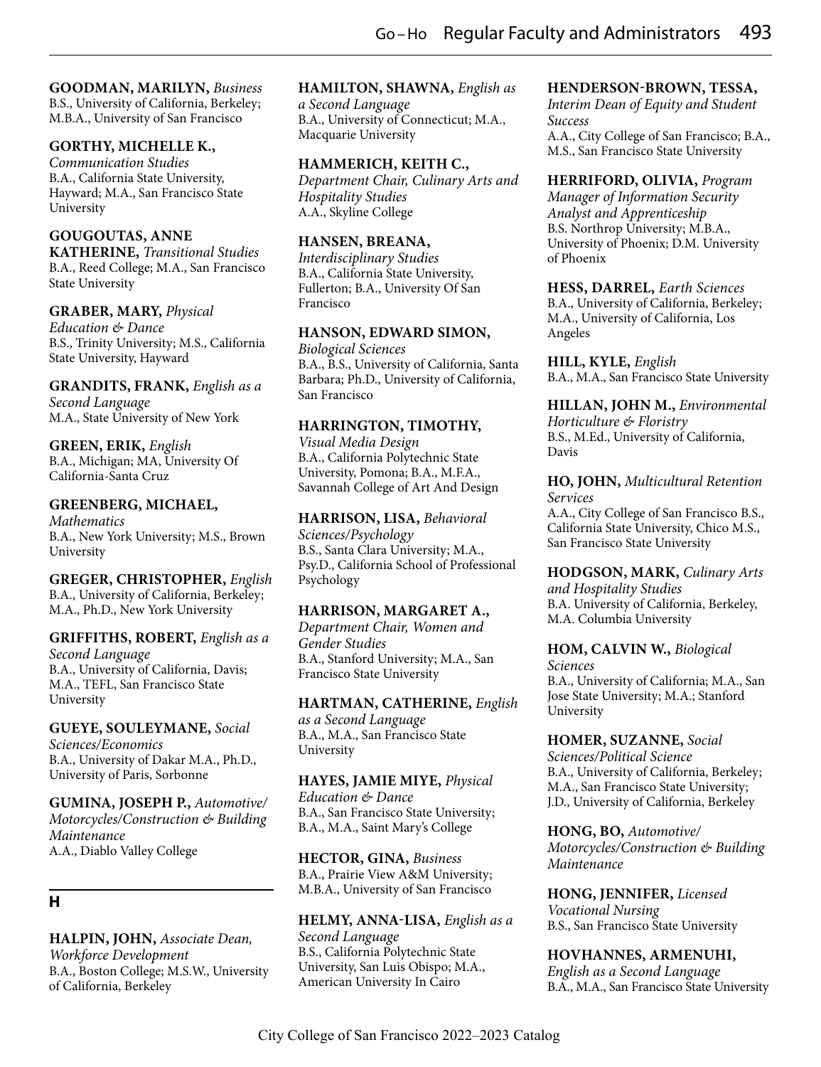# **GOODMAN, MARILYN,** *Business*

B.S., University of California, Berkeley; M.B.A., University of San Francisco

## **GORTHY, MICHELLE K.,**

*Communication Studies* B.A., California State University, Hayward; M.A., San Francisco State University

#### **GOUGOUTAS, ANNE**

**KATHERINE,** *Transitional Studies* B.A., Reed College; M.A., San Francisco State University

#### **GRABER, MARY,** *Physical*

*Education & Dance* B.S., Trinity University; M.S., California State University, Hayward

**GRANDITS, FRANK,** *English as a Second Language* M.A., State University of New York

**GREEN, ERIK,** *English* B.A., Michigan; MA, University Of California-Santa Cruz

#### **GREENBERG, MICHAEL,**

*Mathematics* B.A., New York University; M.S., Brown University

**GREGER, CHRISTOPHER,** *English* B.A., University of California, Berkeley; M.A., Ph.D., New York University

#### **GRIFFITHS, ROBERT,** *English as a*

*Second Language* B.A., University of California, Davis; M.A., TEFL, San Francisco State University

#### **GUEYE, SOULEYMANE,** *Social*

*Sciences/Economics* B.A., University of Dakar M.A., Ph.D., University of Paris, Sorbonne

# **GUMINA, JOSEPH P.,** *Automotive/ Motorcycles/Construction & Building Maintenance*

A.A., Diablo Valley College

# **H**

**HALPIN, JOHN,** *Associate Dean, Workforce Development* B.A., Boston College; M.S.W., University of California, Berkeley

#### **HAMILTON, SHAWNA,** *English as*

*a Second Language* B.A., University of Connecticut; M.A., Macquarie University

## **HAMMERICH, KEITH C.,**

*Department Chair, Culinary Arts and Hospitality Studies* A.A., Skyline College

#### **HANSEN, BREANA,**

*Interdisciplinary Studies* B.A., California State University, Fullerton; B.A., University Of San Francisco

#### **HANSON, EDWARD SIMON,**

*Biological Sciences* B.A., B.S., University of California, Santa Barbara; Ph.D., University of California, San Francisco

## **HARRINGTON, TIMOTHY,**

*Visual Media Design* B.A., California Polytechnic State University, Pomona; B.A., M.F.A., Savannah College of Art And Design

**HARRISON, LISA,** *Behavioral Sciences/Psychology* B.S., Santa Clara University; M.A., Psy.D., California School of Professional Psychology

#### **HARRISON, MARGARET A.,**

*Department Chair, Women and Gender Studies* B.A., Stanford University; M.A., San Francisco State University

#### **HARTMAN, CATHERINE,** *English*

*as a Second Language* B.A., M.A., San Francisco State University

## **HAYES, JAMIE MIYE,** *Physical*

*Education & Dance* B.A., San Francisco State University; B.A., M.A., Saint Mary's College

**HECTOR, GINA,** *Business* B.A., Prairie View A&M University; M.B.A., University of San Francisco

**HELMY, ANNA-LISA,** *English as a Second Language* B.S., California Polytechnic State University, San Luis Obispo; M.A., American University In Cairo

## **HENDERSON-BROWN, TESSA,**

*Interim Dean of Equity and Student Success* A.A., City College of San Francisco; B.A., M.S., San Francisco State University

**HERRIFORD, OLIVIA,** *Program Manager of Information Security Analyst and Apprenticeship* B.S. Northrop University; M.B.A., University of Phoenix; D.M. University of Phoenix

**HESS, DARREL,** *Earth Sciences* B.A., University of California, Berkeley; M.A., University of California, Los Angeles

**HILL, KYLE,** *English* B.A., M.A., San Francisco State University

**HILLAN, JOHN M.,** *Environmental Horticulture & Floristry* B.S., M.Ed., University of California, Davis

**HO, JOHN,** *Multicultural Retention Services* A.A., City College of San Francisco B.S., California State University, Chico M.S., San Francisco State University

**HODGSON, MARK,** *Culinary Arts and Hospitality Studies* B.A. University of California, Berkeley, M.A. Columbia University

**HOM, CALVIN W.,** *Biological Sciences* B.A., University of California; M.A., San Jose State University; M.A.; Stanford University

**HOMER, SUZANNE,** *Social Sciences/Political Science* B.A., University of California, Berkeley; M.A., San Francisco State University; J.D., University of California, Berkeley

**HONG, BO,** *Automotive/ Motorcycles/Construction & Building Maintenance*

**HONG, JENNIFER,** *Licensed Vocational Nursing* B.S., San Francisco State University

**HOVHANNES, ARMENUHI,** *English as a Second Language* B.A., M.A., San Francisco State University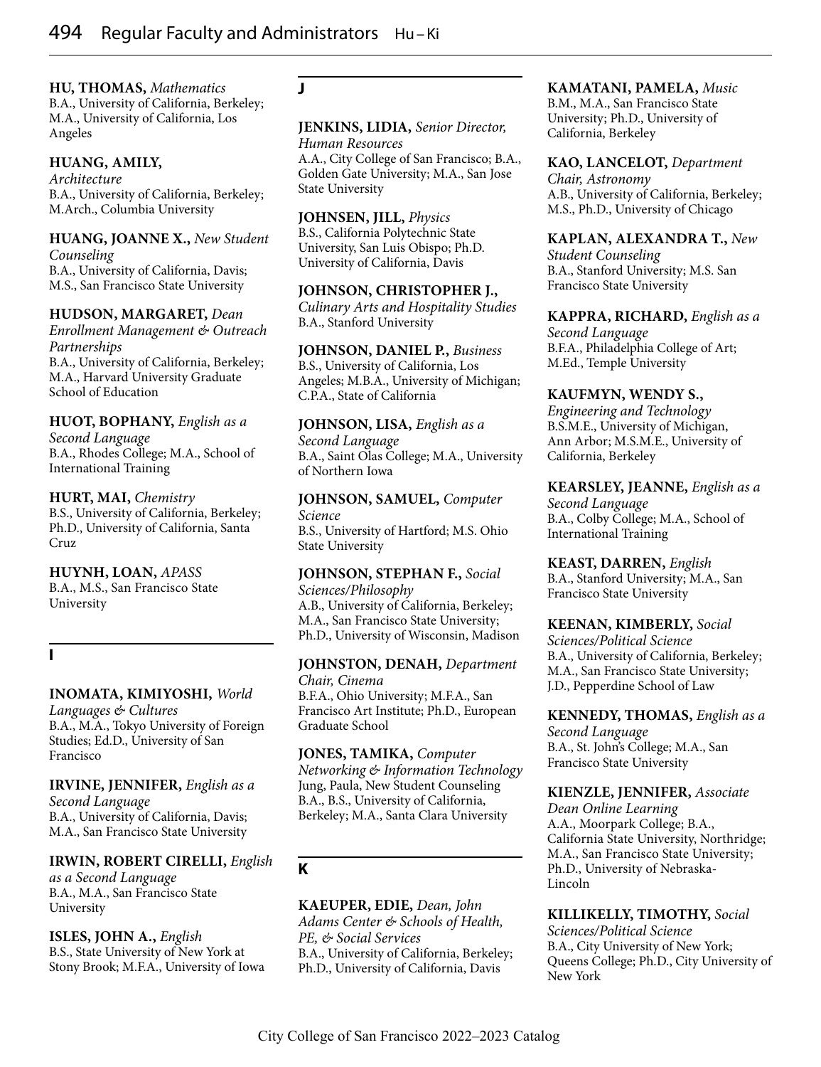**HU, THOMAS,** *Mathematics* B.A., University of California, Berkeley; M.A., University of California, Los Angeles

## **HUANG, AMILY,**

*Architecture* B.A., University of California, Berkeley; M.Arch., Columbia University

#### **HUANG, JOANNE X.,** *New Student Counseling* B.A., University of California, Davis;

M.S., San Francisco State University

#### **HUDSON, MARGARET,** *Dean*

*Enrollment Management & Outreach Partnerships* B.A., University of California, Berkeley; M.A., Harvard University Graduate School of Education

# **HUOT, BOPHANY,** *English as a*

*Second Language* B.A., Rhodes College; M.A., School of International Training

#### **HURT, MAI,** *Chemistry*

B.S., University of California, Berkeley; Ph.D., University of California, Santa Cruz

**HUYNH, LOAN,** *APASS* B.A., M.S., San Francisco State

# **I**

University

## **INOMATA, KIMIYOSHI,** *World*

*Languages & Cultures* B.A., M.A., Tokyo University of Foreign Studies; Ed.D., University of San Francisco

**IRVINE, JENNIFER,** *English as a Second Language* B.A., University of California, Davis; M.A., San Francisco State University

## **IRWIN, ROBERT CIRELLI,** *English*

*as a Second Language* B.A., M.A., San Francisco State University

**ISLES, JOHN A.,** *English* B.S., State University of New York at Stony Brook; M.F.A., University of Iowa

# **J**

## **JENKINS, LIDIA,** *Senior Director, Human Resources*

A.A., City College of San Francisco; B.A., Golden Gate University; M.A., San Jose State University

#### **JOHNSEN, JILL,** *Physics* B.S., California Polytechnic State University, San Luis Obispo; Ph.D. University of California, Davis

**JOHNSON, CHRISTOPHER J.,** *Culinary Arts and Hospitality Studies* B.A., Stanford University

# **JOHNSON, DANIEL P.,** *Business*

B.S., University of California, Los Angeles; M.B.A., University of Michigan; C.P.A., State of California

# **JOHNSON, LISA,** *English as a*

*Second Language* B.A., Saint Olas College; M.A., University of Northern Iowa

# **JOHNSON, SAMUEL,** *Computer*

*Science* B.S., University of Hartford; M.S. Ohio State University

#### **JOHNSON, STEPHAN F.,** *Social Sciences/Philosophy* A.B., University of California, Berkeley;

M.A., San Francisco State University; Ph.D., University of Wisconsin, Madison

#### **JOHNSTON, DENAH,** *Department Chair, Cinema*

B.F.A., Ohio University; M.F.A., San Francisco Art Institute; Ph.D., European Graduate School

#### **JONES, TAMIKA,** *Computer Networking & Information Technology* Jung, Paula, New Student Counseling B.A., B.S., University of California, Berkeley; M.A., Santa Clara University

# **K**

#### **KAEUPER, EDIE,** *Dean, John Adams Center & Schools of Health, PE, & Social Services* B.A., University of California, Berkeley; Ph.D., University of California, Davis

#### **KAMATANI, PAMELA,** *Music* B.M., M.A., San Francisco State

University; Ph.D., University of California, Berkeley

# **KAO, LANCELOT,** *Department*

*Chair, Astronomy* A.B., University of California, Berkeley; M.S., Ph.D., University of Chicago

# **KAPLAN, ALEXANDRA T.,** *New*

*Student Counseling* B.A., Stanford University; M.S. San Francisco State University

## **KAPPRA, RICHARD,** *English as a*

*Second Language* B.F.A., Philadelphia College of Art; M.Ed., Temple University

## **KAUFMYN, WENDY S.,**

*Engineering and Technology* B.S.M.E., University of Michigan, Ann Arbor; M.S.M.E., University of California, Berkeley

#### **KEARSLEY, JEANNE,** *English as a Second Language*

B.A., Colby College; M.A., School of International Training

#### **KEAST, DARREN,** *English* B.A., Stanford University; M.A., San

Francisco State University

## **KEENAN, KIMBERLY,** *Social*

*Sciences/Political Science* B.A., University of California, Berkeley; M.A., San Francisco State University; J.D., Pepperdine School of Law

#### **KENNEDY, THOMAS,** *English as a Second Language* B.A., St. John's College; M.A., San Francisco State University

# **KIENZLE, JENNIFER,** *Associate*

*Dean Online Learning* A.A., Moorpark College; B.A., California State University, Northridge; M.A., San Francisco State University; Ph.D., University of Nebraska-Lincoln

## **KILLIKELLY, TIMOTHY,** *Social*

*Sciences/Political Science* B.A., City University of New York; Queens College; Ph.D., City University of New York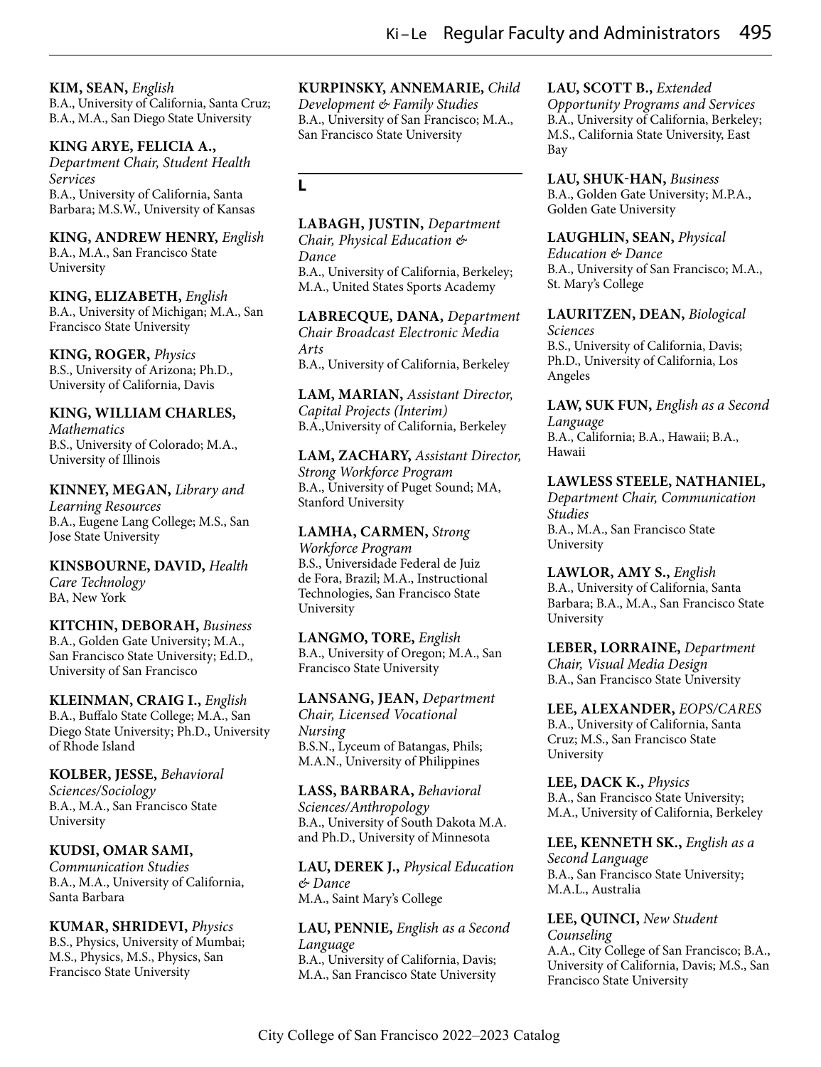**KIM, SEAN,** *English*

B.A., University of California, Santa Cruz; B.A., M.A., San Diego State University

## **KING ARYE, FELICIA A.,**

*Department Chair, Student Health Services* B.A., University of California, Santa Barbara; M.S.W., University of Kansas

**KING, ANDREW HENRY,** *English* B.A., M.A., San Francisco State University

**KING, ELIZABETH,** *English* B.A., University of Michigan; M.A., San Francisco State University

**KING, ROGER,** *Physics* B.S., University of Arizona; Ph.D., University of California, Davis

# **KING, WILLIAM CHARLES,**

*Mathematics* B.S., University of Colorado; M.A., University of Illinois

**KINNEY, MEGAN,** *Library and Learning Resources* B.A., Eugene Lang College; M.S., San Jose State University

**KINSBOURNE, DAVID,** *Health Care Technology* BA, New York

**KITCHIN, DEBORAH,** *Business*

B.A., Golden Gate University; M.A., San Francisco State University; Ed.D., University of San Francisco

**KLEINMAN, CRAIG I.,** *English* B.A., Buffalo State College; M.A., San Diego State University; Ph.D., University of Rhode Island

## **KOLBER, JESSE,** *Behavioral*

*Sciences/Sociology* B.A., M.A., San Francisco State University

**KUDSI, OMAR SAMI,** *Communication Studies* B.A., M.A., University of California, Santa Barbara

**KUMAR, SHRIDEVI,** *Physics* B.S., Physics, University of Mumbai; M.S., Physics, M.S., Physics, San Francisco State University

#### **KURPINSKY, ANNEMARIE,** *Child*

*Development & Family Studies* B.A., University of San Francisco; M.A., San Francisco State University

**L**

# **LABAGH, JUSTIN,** *Department*

*Chair, Physical Education & Dance* B.A., University of California, Berkeley; M.A., United States Sports Academy

**LABRECQUE, DANA,** *Department Chair Broadcast Electronic Media Arts* B.A., University of California, Berkeley

**LAM, MARIAN,** *Assistant Director, Capital Projects (Interim)* B.A.,University of California, Berkeley

**LAM, ZACHARY,** *Assistant Director, Strong Workforce Program* B.A., University of Puget Sound; MA, Stanford University

**LAMHA, CARMEN,** *Strong Workforce Program* B.S., Universidade Federal de Juiz de Fora, Brazil; M.A., Instructional Technologies, San Francisco State University

**LANGMO, TORE,** *English* B.A., University of Oregon; M.A., San Francisco State University

**LANSANG, JEAN,** *Department Chair, Licensed Vocational Nursing* B.S.N., Lyceum of Batangas, Phils; M.A.N., University of Philippines

**LASS, BARBARA,** *Behavioral Sciences/Anthropology* B.A., University of South Dakota M.A. and Ph.D., University of Minnesota

**LAU, DEREK J.,** *Physical Education & Dance* M.A., Saint Mary's College

**LAU, PENNIE,** *English as a Second Language* B.A., University of California, Davis; M.A., San Francisco State University

## **LAU, SCOTT B.,** *Extended*

*Opportunity Programs and Services* B.A., University of California, Berkeley; M.S., California State University, East Bay

**LAU, SHUK-HAN,** *Business* B.A., Golden Gate University; M.P.A., Golden Gate University

**LAUGHLIN, SEAN,** *Physical Education & Dance* B.A., University of San Francisco; M.A., St. Mary's College

**LAURITZEN, DEAN,** *Biological Sciences* B.S., University of California, Davis; Ph.D., University of California, Los Angeles

**LAW, SUK FUN,** *English as a Second Language* B.A., California; B.A., Hawaii; B.A., Hawaii

**LAWLESS STEELE, NATHANIEL,** *Department Chair, Communication Studies* B.A., M.A., San Francisco State University

**LAWLOR, AMY S.,** *English* B.A., University of California, Santa Barbara; B.A., M.A., San Francisco State University

**LEBER, LORRAINE,** *Department Chair, Visual Media Design* B.A., San Francisco State University

**LEE, ALEXANDER,** *EOPS/CARES* B.A., University of California, Santa Cruz; M.S., San Francisco State University

**LEE, DACK K.,** *Physics* B.A., San Francisco State University; M.A., University of California, Berkeley

**LEE, KENNETH SK.,** *English as a Second Language* B.A., San Francisco State University; M.A.L., Australia

**LEE, QUINCI,** *New Student Counseling* A.A., City College of San Francisco; B.A., University of California, Davis; M.S., San Francisco State University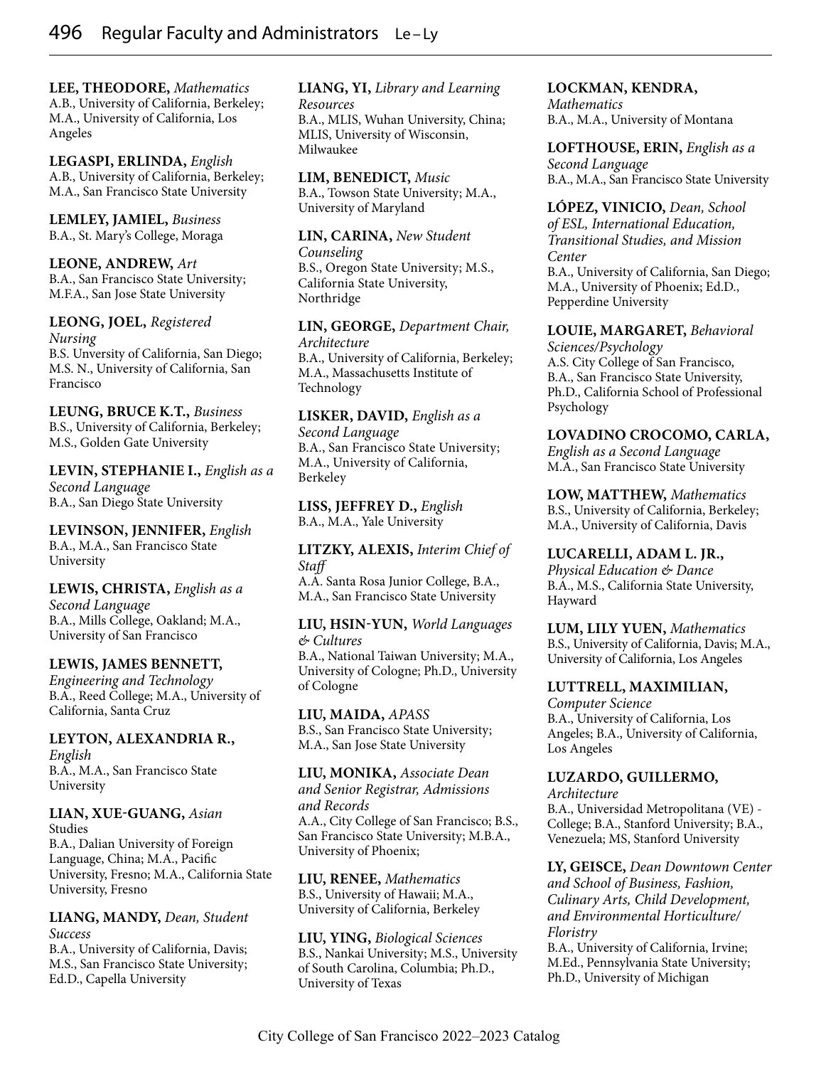**LEE, THEODORE,** *Mathematics* A.B., University of California, Berkeley; M.A., University of California, Los Angeles

**LEGASPI, ERLINDA,** *English* A.B., University of California, Berkeley; M.A., San Francisco State University

**LEMLEY, JAMIEL,** *Business* B.A., St. Mary's College, Moraga

**LEONE, ANDREW,** *Art* B.A., San Francisco State University; M.F.A., San Jose State University

**LEONG, JOEL,** *Registered Nursing* B.S. Unversity of California, San Diego; M.S. N., University of California, San

Francisco

**LEUNG, BRUCE K.T.,** *Business* B.S., University of California, Berkeley; M.S., Golden Gate University

**LEVIN, STEPHANIE I.,** *English as a Second Language* B.A., San Diego State University

**LEVINSON, JENNIFER,** *English* B.A., M.A., San Francisco State University

**LEWIS, CHRISTA,** *English as a Second Language* B.A., Mills College, Oakland; M.A., University of San Francisco

#### **LEWIS, JAMES BENNETT,**

*Engineering and Technology* B.A., Reed College; M.A., University of California, Santa Cruz

**LEYTON, ALEXANDRIA R.,** *English* B.A., M.A., San Francisco State University

#### **LIAN, XUE-GUANG,** *Asian*  Studies

B.A., Dalian University of Foreign Language, China; M.A., Pacific University, Fresno; M.A., California State University, Fresno

**LIANG, MANDY,** *Dean, Student Success* 

B.A., University of California, Davis; M.S., San Francisco State University; Ed.D., Capella University

# **LIANG, YI,** *Library and Learning Resources*

B.A., MLIS, Wuhan University, China; MLIS, University of Wisconsin, Milwaukee

**LIM, BENEDICT,** *Music* B.A., Towson State University; M.A., University of Maryland

**LIN, CARINA,** *New Student Counseling* B.S., Oregon State University; M.S., California State University, Northridge

**LIN, GEORGE,** *Department Chair, Architecture* B.A., University of California, Berkeley; M.A., Massachusetts Institute of Technology

**LISKER, DAVID,** *English as a Second Language* B.A., San Francisco State University; M.A., University of California, Berkeley

**LISS, JEFFREY D.,** *English* B.A., M.A., Yale University

**LITZKY, ALEXIS,** *Interim Chief of Staff*  A.A. Santa Rosa Junior College, B.A., M.A., San Francisco State University

**LIU, HSIN-YUN,** *World Languages & Cultures*

B.A., National Taiwan University; M.A., University of Cologne; Ph.D., University of Cologne

**LIU, MAIDA,** *APASS* B.S., San Francisco State University; M.A., San Jose State University

**LIU, MONIKA,** *Associate Dean and Senior Registrar, Admissions and Records* A.A., City College of San Francisco; B.S., San Francisco State University; M.B.A., University of Phoenix;

**LIU, RENEE,** *Mathematics* B.S., University of Hawaii; M.A., University of California, Berkeley

**LIU, YING,** *Biological Sciences* B.S., Nankai University; M.S., University of South Carolina, Columbia; Ph.D., University of Texas

## **LOCKMAN, KENDRA,**

*Mathematics* B.A., M.A., University of Montana

**LOFTHOUSE, ERIN,** *English as a Second Language* B.A., M.A., San Francisco State University

**LÓPEZ, VINICIO,** *Dean, School of ESL, International Education, Transitional Studies, and Mission Center* B.A., University of California, San Diego; M.A., University of Phoenix; Ed.D., Pepperdine University

**LOUIE, MARGARET,** *Behavioral* 

*Sciences/Psychology* A.S. City College of San Francisco, B.A., San Francisco State University, Ph.D., California School of Professional Psychology

## **LOVADINO CROCOMO, CARLA,**

*English as a Second Language* M.A., San Francisco State University

**LOW, MATTHEW,** *Mathematics* B.S., University of California, Berkeley; M.A., University of California, Davis

**LUCARELLI, ADAM L. JR.,**

*Physical Education & Dance* B.A., M.S., California State University, Hayward

**LUM, LILY YUEN,** *Mathematics* B.S., University of California, Davis; M.A., University of California, Los Angeles

#### **LUTTRELL, MAXIMILIAN,**

*Computer Science* B.A., University of California, Los Angeles; B.A., University of California, Los Angeles

#### **LUZARDO, GUILLERMO,**

*Architecture* B.A., Universidad Metropolitana (VE) - College; B.A., Stanford University; B.A., Venezuela; MS, Stanford University

**LY, GEISCE,** *Dean Downtown Center and School of Business, Fashion, Culinary Arts, Child Development, and Environmental Horticulture/ Floristry*

B.A., University of California, Irvine; M.Ed., Pennsylvania State University; Ph.D., University of Michigan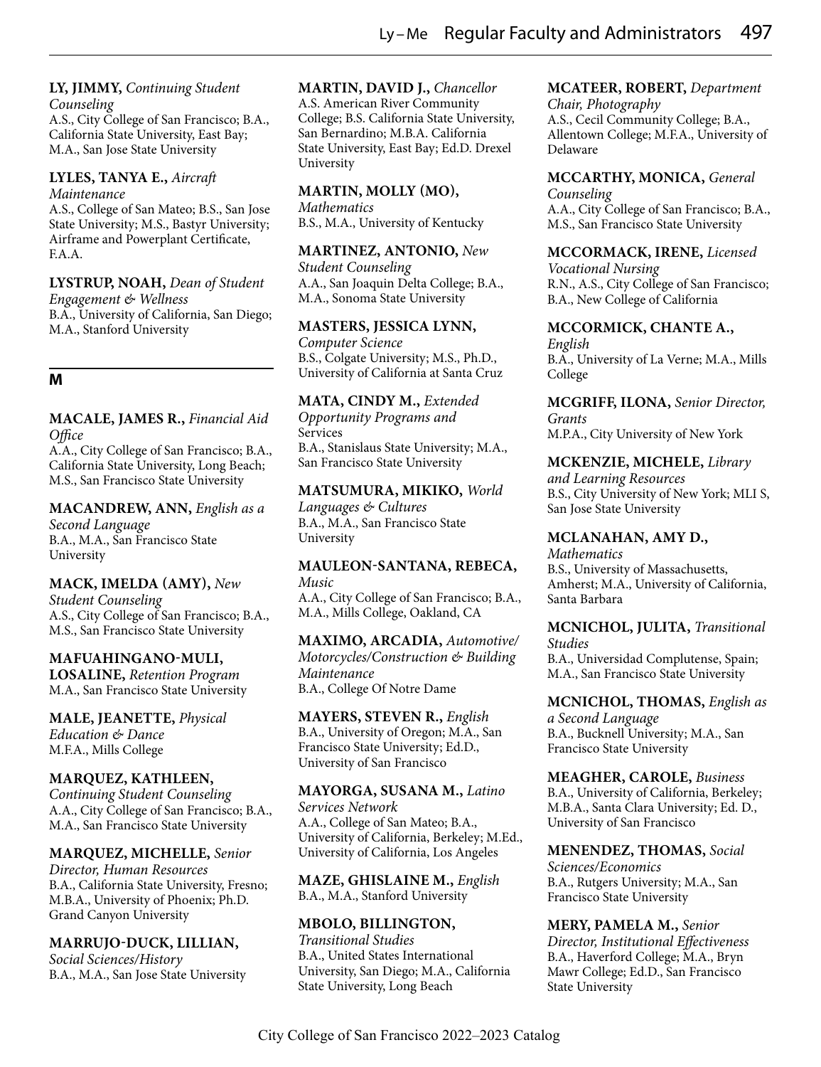#### **LY, JIMMY,** *Continuing Student Counseling*

A.S., City College of San Francisco; B.A., California State University, East Bay; M.A., San Jose State University

#### **LYLES, TANYA E.,** *Aircraft Maintenance*

A.S., College of San Mateo; B.S., San Jose State University; M.S., Bastyr University; Airframe and Powerplant Certificate, F.A.A.

# **LYSTRUP, NOAH,** *Dean of Student*

*Engagement & Wellness*  B.A., University of California, San Diego; M.A., Stanford University

# **M**

#### **MACALE, JAMES R.,** *Financial Aid Office*

A.A., City College of San Francisco; B.A., California State University, Long Beach; M.S., San Francisco State University

## **MACANDREW, ANN,** *English as a*

*Second Language* B.A., M.A., San Francisco State University

## **MACK, IMELDA (AMY),** *New*

*Student Counseling* A.S., City College of San Francisco; B.A., M.S., San Francisco State University

#### **MAFUAHINGANO-MULI,**

**LOSALINE,** *Retention Program* M.A., San Francisco State University

**MALE, JEANETTE,** *Physical Education & Dance* M.F.A., Mills College

## **MARQUEZ, KATHLEEN,**

*Continuing Student Counseling* A.A., City College of San Francisco; B.A., M.A., San Francisco State University

## **MARQUEZ, MICHELLE,** *Senior*

*Director, Human Resources* B.A., California State University, Fresno; M.B.A., University of Phoenix; Ph.D. Grand Canyon University

#### **MARRUJO-DUCK, LILLIAN,** *Social Sciences/History*

B.A., M.A., San Jose State University

#### **MARTIN, DAVID J.,** *Chancellor* A.S. American River Community College; B.S. California State University,

San Bernardino; M.B.A. California State University, East Bay; Ed.D. Drexel University

# **MARTIN, MOLLY (MO),**

*Mathematics* B.S., M.A., University of Kentucky

## **MARTINEZ, ANTONIO,** *New*

*Student Counseling* A.A., San Joaquin Delta College; B.A., M.A., Sonoma State University

#### **MASTERS, JESSICA LYNN,**

*Computer Science* B.S., Colgate University; M.S., Ph.D., University of California at Santa Cruz

# **MATA, CINDY M.,** *Extended*

*Opportunity Programs and*  Services B.A., Stanislaus State University; M.A., San Francisco State University

# **MATSUMURA, MIKIKO,** *World*

*Languages & Cultures* B.A., M.A., San Francisco State University

# **MAULEON-SANTANA, REBECA,** *Music*

A.A., City College of San Francisco; B.A., M.A., Mills College, Oakland, CA

#### **MAXIMO, ARCADIA,** *Automotive/ Motorcycles/Construction & Building Maintenance* B.A., College Of Notre Dame

**MAYERS, STEVEN R.,** *English* B.A., University of Oregon; M.A., San Francisco State University; Ed.D., University of San Francisco

#### **MAYORGA, SUSANA M.,** *Latino Services Network* A.A., College of San Mateo; B.A., University of California, Berkeley; M.Ed., University of California, Los Angeles

**MAZE, GHISLAINE M.,** *English* B.A., M.A., Stanford University

#### **MBOLO, BILLINGTON,** *Transitional Studies* B.A., United States International University, San Diego; M.A., California State University, Long Beach

# **MCATEER, ROBERT,** *Department*

*Chair, Photography* A.S., Cecil Community College; B.A., Allentown College; M.F.A., University of Delaware

#### **MCCARTHY, MONICA,** *General Counseling* A.A., City College of San Francisco; B.A., M.S., San Francisco State University

## **MCCORMACK, IRENE,** *Licensed*

*Vocational Nursing* R.N., A.S., City College of San Francisco; B.A., New College of California

## **MCCORMICK, CHANTE A.,**

*English* B.A., University of La Verne; M.A., Mills College

**MCGRIFF, ILONA,** *Senior Director, Grants* M.P.A., City University of New York

# **MCKENZIE, MICHELE,** *Library and Learning Resources*

B.S., City University of New York; MLI S, San Jose State University

## **MCLANAHAN, AMY D.,**

*Mathematics* B.S., University of Massachusetts, Amherst; M.A., University of California, Santa Barbara

# **MCNICHOL, JULITA,** *Transitional Studies*

B.A., Universidad Complutense, Spain; M.A., San Francisco State University

**MCNICHOL, THOMAS,** *English as a Second Language* B.A., Bucknell University; M.A., San Francisco State University

**MEAGHER, CAROLE,** *Business* B.A., University of California, Berkeley; M.B.A., Santa Clara University; Ed. D., University of San Francisco

**MENENDEZ, THOMAS,** *Social Sciences/Economics* B.A., Rutgers University; M.A., San Francisco State University

#### **MERY, PAMELA M.,** *Senior Director, Institutional Effectiveness* B.A., Haverford College; M.A., Bryn Mawr College; Ed.D., San Francisco State University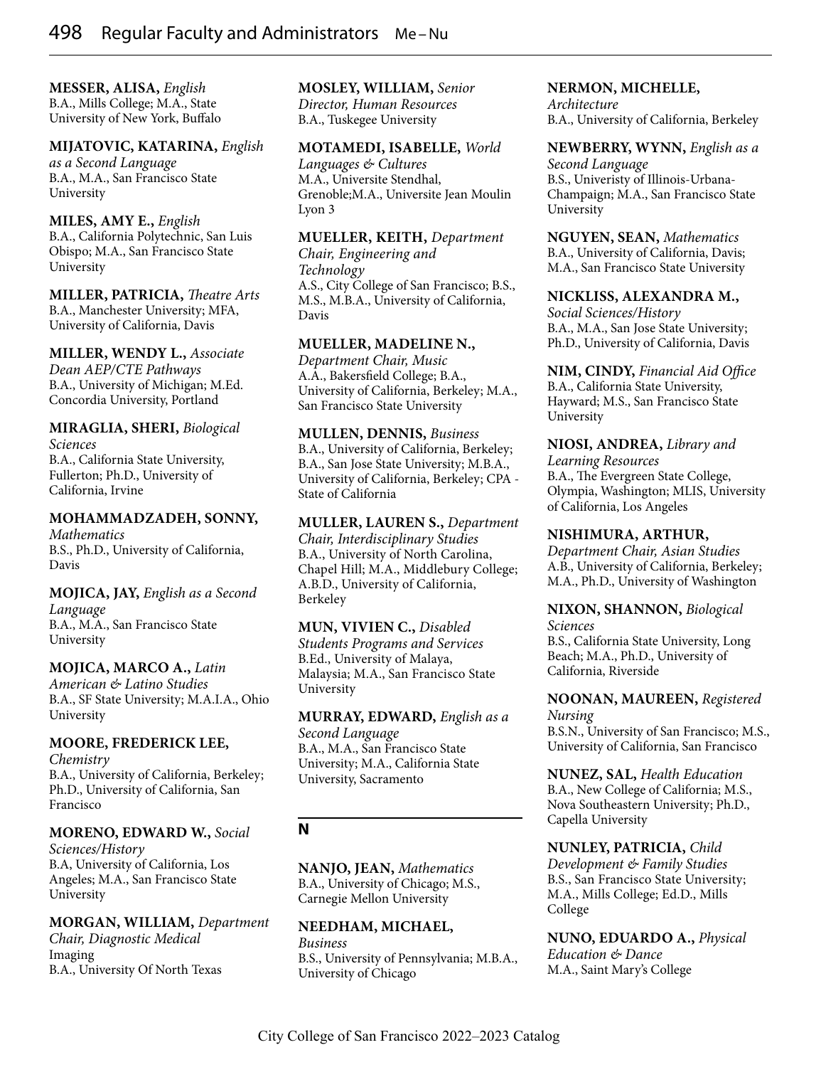**MESSER, ALISA,** *English* B.A., Mills College; M.A., State University of New York, Buffalo

# **MIJATOVIC, KATARINA,** *English*

*as a Second Language* B.A., M.A., San Francisco State University

#### **MILES, AMY E.,** *English*

B.A., California Polytechnic, San Luis Obispo; M.A., San Francisco State University

**MILLER, PATRICIA,** *Theatre Arts* B.A., Manchester University; MFA, University of California, Davis

**MILLER, WENDY L.,** *Associate Dean AEP/CTE Pathways* B.A., University of Michigan; M.Ed. Concordia University, Portland

**MIRAGLIA, SHERI,** *Biological Sciences* B.A., California State University, Fullerton; Ph.D., University of California, Irvine

# **MOHAMMADZADEH, SONNY,** *Mathematics*

B.S., Ph.D., University of California, Davis

**MOJICA, JAY,** *English as a Second Language* B.A., M.A., San Francisco State University

**MOJICA, MARCO A.,** *Latin American & Latino Studies* B.A., SF State University; M.A.I.A., Ohio University

## **MOORE, FREDERICK LEE,**

*Chemistry* B.A., University of California, Berkeley; Ph.D., University of California, San Francisco

# **MORENO, EDWARD W.,** *Social*

*Sciences/History* B.A, University of California, Los Angeles; M.A., San Francisco State University

**MORGAN, WILLIAM,** *Department* 

*Chair, Diagnostic Medical*  Imaging B.A., University Of North Texas **MOSLEY, WILLIAM,** *Senior Director, Human Resources* B.A., Tuskegee University

#### **MOTAMEDI, ISABELLE,** *World*

*Languages & Cultures* M.A., Universite Stendhal, Grenoble;M.A., Universite Jean Moulin Lyon 3

**MUELLER, KEITH,** *Department* 

*Chair, Engineering and Technology* A.S., City College of San Francisco; B.S., M.S., M.B.A., University of California, Davis

#### **MUELLER, MADELINE N.,**

*Department Chair, Music* A.A., Bakersfield College; B.A., University of California, Berkeley; M.A., San Francisco State University

**MULLEN, DENNIS,** *Business* B.A., University of California, Berkeley; B.A., San Jose State University; M.B.A., University of California, Berkeley; CPA - State of California

**MULLER, LAUREN S.,** *Department Chair, Interdisciplinary Studies* B.A., University of North Carolina, Chapel Hill; M.A., Middlebury College; A.B.D., University of California, Berkeley

**MUN, VIVIEN C.,** *Disabled Students Programs and Services* B.Ed., University of Malaya, Malaysia; M.A., San Francisco State University

**MURRAY, EDWARD,** *English as a Second Language* B.A., M.A., San Francisco State University; M.A., California State University, Sacramento

## **N**

**NANJO, JEAN,** *Mathematics* B.A., University of Chicago; M.S., Carnegie Mellon University

**NEEDHAM, MICHAEL,** *Business* B.S., University of Pennsylvania; M.B.A., University of Chicago

#### **NERMON, MICHELLE,**

*Architecture* B.A., University of California, Berkeley

#### **NEWBERRY, WYNN,** *English as a*

*Second Language* B.S., Univeristy of Illinois-Urbana-Champaign; M.A., San Francisco State University

**NGUYEN, SEAN,** *Mathematics* B.A., University of California, Davis; M.A., San Francisco State University

**NICKLISS, ALEXANDRA M.,** *Social Sciences/History* B.A., M.A., San Jose State University; Ph.D., University of California, Davis

**NIM, CINDY,** *Financial Aid Office* B.A., California State University, Hayward; M.S., San Francisco State University

**NIOSI, ANDREA,** *Library and Learning Resources* B.A., The Evergreen State College, Olympia, Washington; MLIS, University of California, Los Angeles

#### **NISHIMURA, ARTHUR,**

*Department Chair, Asian Studies* A.B., University of California, Berkeley; M.A., Ph.D., University of Washington

**NIXON, SHANNON,** *Biological Sciences* B.S., California State University, Long

Beach; M.A., Ph.D., University of California, Riverside

**NOONAN, MAUREEN,** *Registered Nursing* B.S.N., University of San Francisco; M.S., University of California, San Francisco

**NUNEZ, SAL,** *Health Education* B.A., New College of California; M.S., Nova Southeastern University; Ph.D., Capella University

## **NUNLEY, PATRICIA,** *Child*

*Development & Family Studies* B.S., San Francisco State University; M.A., Mills College; Ed.D., Mills College

**NUNO, EDUARDO A.,** *Physical Education & Dance* M.A., Saint Mary's College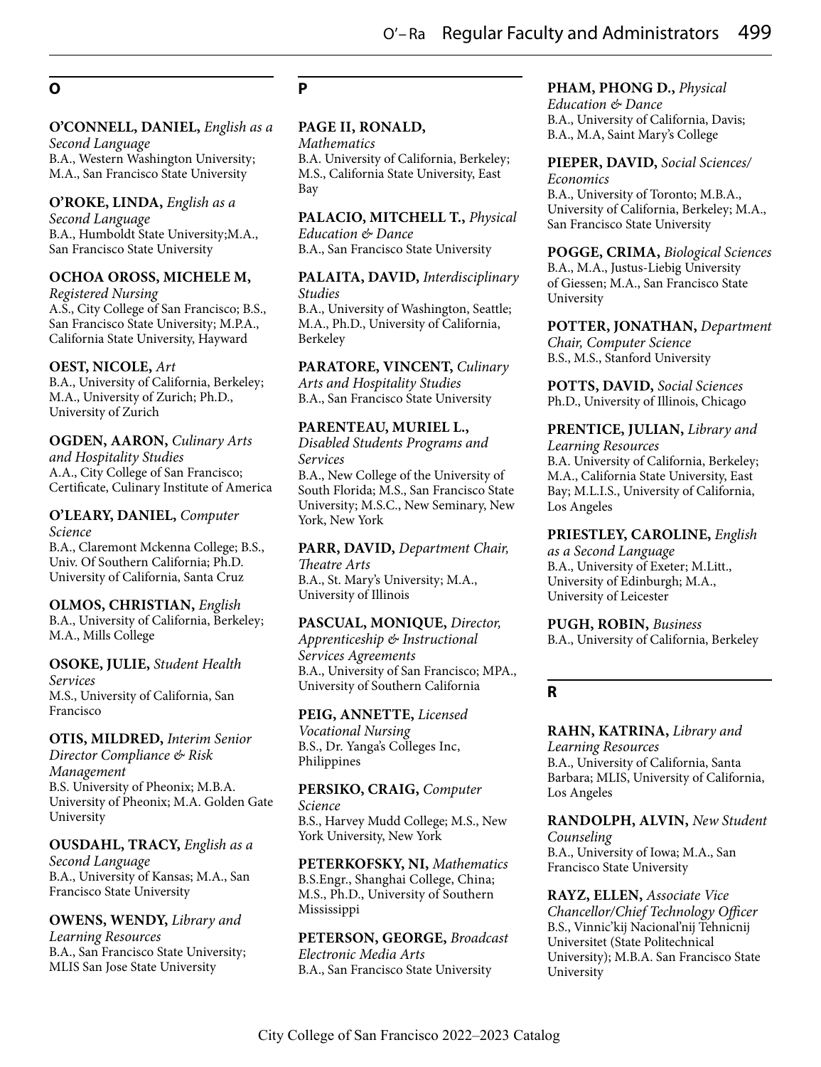# **O**

# **O'CONNELL, DANIEL,** *English as a*

*Second Language* B.A., Western Washington University; M.A., San Francisco State University

#### **O'ROKE, LINDA,** *English as a*

*Second Language* B.A., Humboldt State University;M.A., San Francisco State University

#### **OCHOA OROSS, MICHELE M,**

*Registered Nursing* A.S., City College of San Francisco; B.S., San Francisco State University; M.P.A., California State University, Hayward

#### **OEST, NICOLE,** *Art*

B.A., University of California, Berkeley; M.A., University of Zurich; Ph.D., University of Zurich

#### **OGDEN, AARON,** *Culinary Arts*

*and Hospitality Studies* A.A., City College of San Francisco; Certificate, Culinary Institute of America

#### **O'LEARY, DANIEL,** *Computer Science*

B.A., Claremont Mckenna College; B.S., Univ. Of Southern California; Ph.D. University of California, Santa Cruz

# **OLMOS, CHRISTIAN,** *English*

B.A., University of California, Berkeley; M.A., Mills College

#### **OSOKE, JULIE,** *Student Health Services* M.S., University of California, San Francisco

## **OTIS, MILDRED,** *Interim Senior*

*Director Compliance & Risk Management* B.S. University of Pheonix; M.B.A. University of Pheonix; M.A. Golden Gate University

## **OUSDAHL, TRACY,** *English as a*

*Second Language* B.A., University of Kansas; M.A., San Francisco State University

# **OWENS, WENDY,** *Library and Learning Resources*

B.A., San Francisco State University; MLIS San Jose State University

# **P**

#### **PAGE II, RONALD,**

*Mathematics* B.A. University of California, Berkeley; M.S., California State University, East Bay

**PALACIO, MITCHELL T.,** *Physical Education & Dance*

B.A., San Francisco State University

**PALAITA, DAVID,** *Interdisciplinary Studies*

B.A., University of Washington, Seattle; M.A., Ph.D., University of California, Berkeley

#### **PARATORE, VINCENT,** *Culinary*

*Arts and Hospitality Studies* B.A., San Francisco State University

# **PARENTEAU, MURIEL L.,**

*Disabled Students Programs and Services* B.A., New College of the University of South Florida; M.S., San Francisco State University; M.S.C., New Seminary, New York, New York

**PARR, DAVID,** *Department Chair,* 

*Theatre Arts* B.A., St. Mary's University; M.A., University of Illinois

# **PASCUAL, MONIQUE,** *Director,*

*Apprenticeship & Instructional Services Agreements* B.A., University of San Francisco; MPA., University of Southern California

# **PEIG, ANNETTE,** *Licensed*

*Vocational Nursing* B.S., Dr. Yanga's Colleges Inc, Philippines

#### **PERSIKO, CRAIG,** *Computer*

*Science* B.S., Harvey Mudd College; M.S., New York University, New York

**PETERKOFSKY, NI,** *Mathematics* B.S.Engr., Shanghai College, China; M.S., Ph.D., University of Southern Mississippi

**PETERSON, GEORGE,** *Broadcast Electronic Media Arts* B.A., San Francisco State University

# **PHAM, PHONG D.,** *Physical*

*Education & Dance* B.A., University of California, Davis; B.A., M.A, Saint Mary's College

#### **PIEPER, DAVID,** *Social Sciences/ Economics*

B.A., University of Toronto; M.B.A., University of California, Berkeley; M.A., San Francisco State University

# **POGGE, CRIMA,** *Biological Sciences*

B.A., M.A., Justus-Liebig University of Giessen; M.A., San Francisco State University

## **POTTER, JONATHAN,** *Department Chair, Computer Science*

B.S., M.S., Stanford University

**POTTS, DAVID,** *Social Sciences* Ph.D., University of Illinois, Chicago

# **PRENTICE, JULIAN,** *Library and*

*Learning Resources* B.A. University of California, Berkeley; M.A., California State University, East Bay; M.L.I.S., University of California, Los Angeles

## **PRIESTLEY, CAROLINE,** *English*

*as a Second Language* B.A., University of Exeter; M.Litt., University of Edinburgh; M.A., University of Leicester

#### **PUGH, ROBIN,** *Business* B.A., University of California, Berkeley

## **R**

#### **RAHN, KATRINA,** *Library and Learning Resources* B.A., University of California, Santa Barbara; MLIS, University of California, Los Angeles

**RANDOLPH, ALVIN,** *New Student Counseling* B.A., University of Iowa; M.A., San Francisco State University

#### **RAYZ, ELLEN,** *Associate Vice Chancellor/Chief Technology Officer* B.S., Vinnic'kij Nacional'nij Tehnicnij Universitet (State Politechnical University); M.B.A. San Francisco State University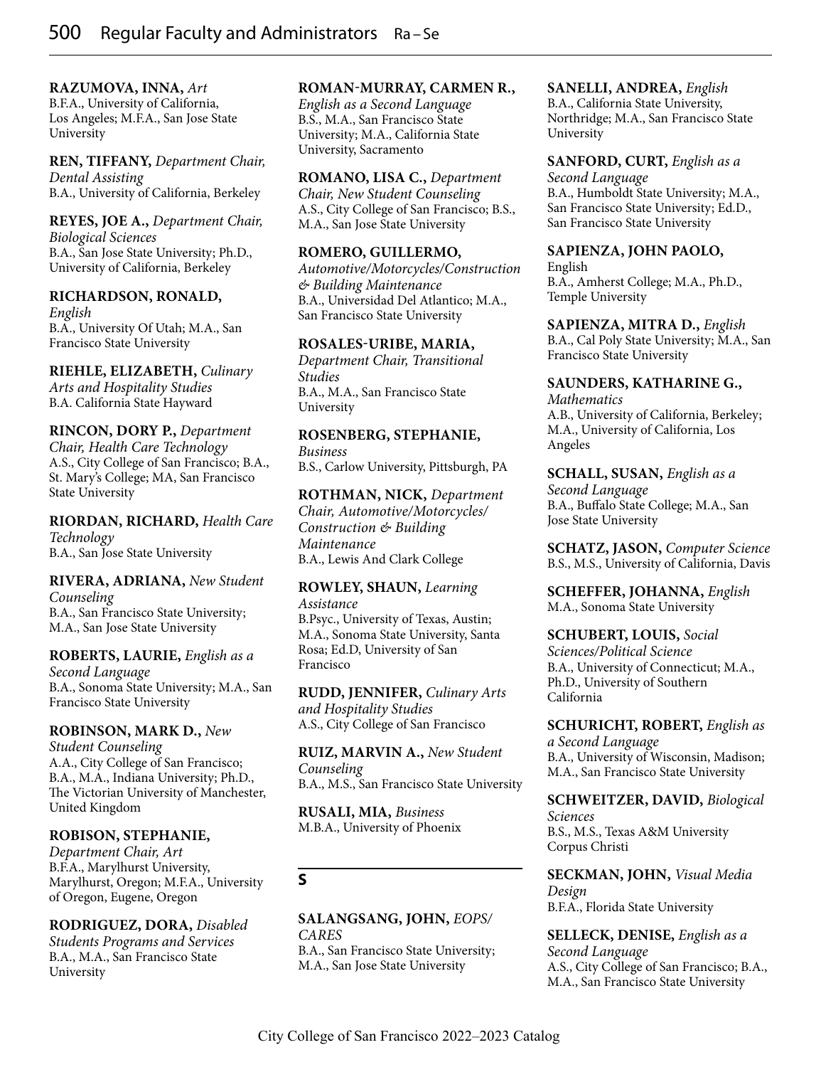**RAZUMOVA, INNA,** *Art* B.F.A., University of California,

Los Angeles; M.F.A., San Jose State University

**REN, TIFFANY,** *Department Chair, Dental Assisting* B.A., University of California, Berkeley

#### **REYES, JOE A.,** *Department Chair, Biological Sciences* B.A., San Jose State University; Ph.D., University of California, Berkeley

**RICHARDSON, RONALD,** *English* B.A., University Of Utah; M.A., San Francisco State University

#### **RIEHLE, ELIZABETH,** *Culinary Arts and Hospitality Studies* B.A. California State Hayward

**RINCON, DORY P.,** *Department Chair, Health Care Technology* A.S., City College of San Francisco; B.A., St. Mary's College; MA, San Francisco State University

**RIORDAN, RICHARD,** *Health Care Technology* B.A., San Jose State University

#### **RIVERA, ADRIANA,** *New Student Counseling*

B.A., San Francisco State University; M.A., San Jose State University

## **ROBERTS, LAURIE,** *English as a*

*Second Language* B.A., Sonoma State University; M.A., San Francisco State University

## **ROBINSON, MARK D.,** *New*

*Student Counseling* A.A., City College of San Francisco; B.A., M.A., Indiana University; Ph.D., The Victorian University of Manchester, United Kingdom

## **ROBISON, STEPHANIE,**

*Department Chair, Art* B.F.A., Marylhurst University, Marylhurst, Oregon; M.F.A., University of Oregon, Eugene, Oregon

## **RODRIGUEZ, DORA,** *Disabled*

*Students Programs and Services* B.A., M.A., San Francisco State University

#### **ROMAN-MURRAY, CARMEN R.,**

*English as a Second Language* B.S., M.A., San Francisco State University; M.A., California State University, Sacramento

**ROMANO, LISA C.,** *Department Chair, New Student Counseling* A.S., City College of San Francisco; B.S., M.A., San Jose State University

#### **ROMERO, GUILLERMO,**

*Automotive/Motorcycles/Construction & Building Maintenance* B.A., Universidad Del Atlantico; M.A., San Francisco State University

## **ROSALES-URIBE, MARIA,**

*Department Chair, Transitional Studies* B.A., M.A., San Francisco State University

## **ROSENBERG, STEPHANIE,**

*Business* B.S., Carlow University, Pittsburgh, PA

**ROTHMAN, NICK,** *Department Chair, Automotive/Motorcycles/ Construction & Building Maintenance* B.A., Lewis And Clark College

## **ROWLEY, SHAUN,** *Learning Assistance*

B.Psyc., University of Texas, Austin; M.A., Sonoma State University, Santa Rosa; Ed.D, University of San Francisco

**RUDD, JENNIFER,** *Culinary Arts and Hospitality Studies* A.S., City College of San Francisco

**RUIZ, MARVIN A.,** *New Student Counseling* B.A., M.S., San Francisco State University

**RUSALI, MIA,** *Business* M.B.A., University of Phoenix

# **S**

#### **SALANGSANG, JOHN,** *EOPS/ CARES*

B.A., San Francisco State University; M.A., San Jose State University

#### **SANELLI, ANDREA,** *English*

B.A., California State University, Northridge; M.A., San Francisco State University

**SANFORD, CURT,** *English as a Second Language* B.A., Humboldt State University; M.A., San Francisco State University; Ed.D., San Francisco State University

## **SAPIENZA, JOHN PAOLO,**

English B.A., Amherst College; M.A., Ph.D., Temple University

**SAPIENZA, MITRA D.,** *English* B.A., Cal Poly State University; M.A., San Francisco State University

**SAUNDERS, KATHARINE G.,** *Mathematics* A.B., University of California, Berkeley; M.A., University of California, Los Angeles

**SCHALL, SUSAN,** *English as a Second Language* B.A., Buffalo State College; M.A., San Jose State University

**SCHATZ, JASON,** *Computer Science* B.S., M.S., University of California, Davis

**SCHEFFER, JOHANNA,** *English* M.A., Sonoma State University

**SCHUBERT, LOUIS,** *Social Sciences/Political Science* B.A., University of Connecticut; M.A., Ph.D., University of Southern California

**SCHURICHT, ROBERT,** *English as a Second Language* B.A., University of Wisconsin, Madison; M.A., San Francisco State University

**SCHWEITZER, DAVID,** *Biological Sciences* B.S., M.S., Texas A&M University Corpus Christi

**SECKMAN, JOHN,** *Visual Media Design* B.F.A., Florida State University

**SELLECK, DENISE,** *English as a Second Language* A.S., City College of San Francisco; B.A., M.A., San Francisco State University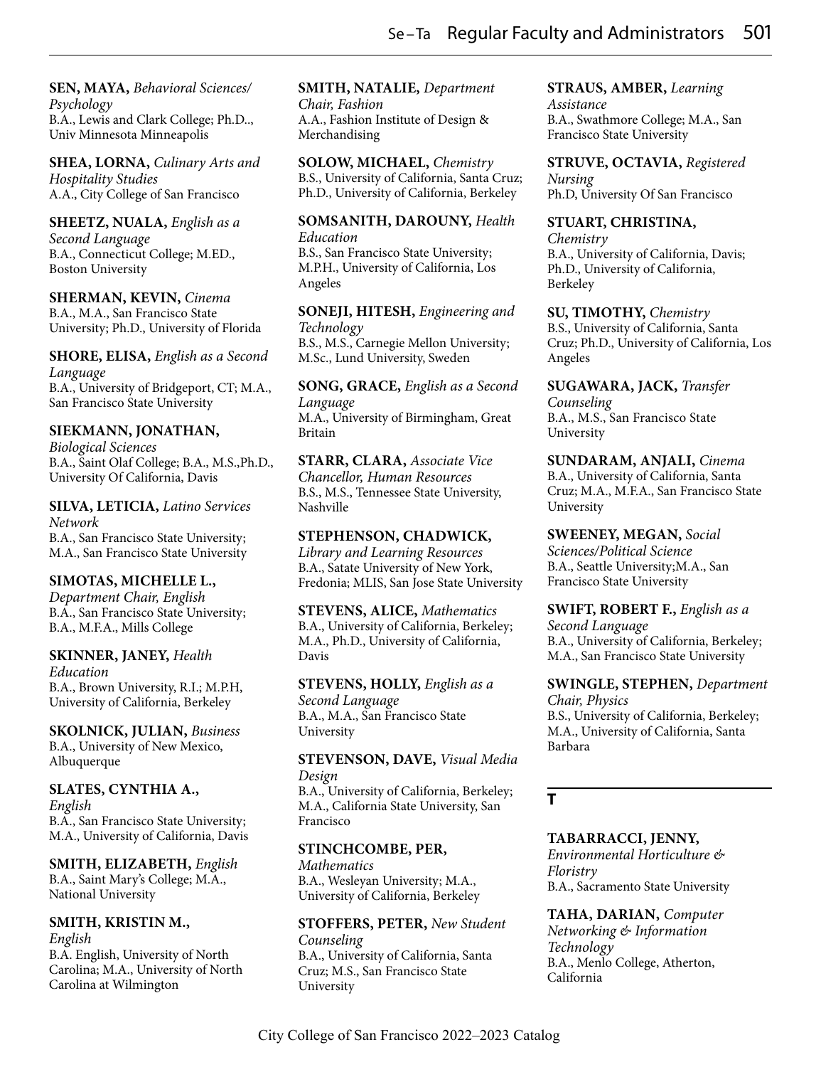**SEN, MAYA,** *Behavioral Sciences/ Psychology* B.A., Lewis and Clark College; Ph.D.., Univ Minnesota Minneapolis

**SHEA, LORNA,** *Culinary Arts and Hospitality Studies* A.A., City College of San Francisco

#### **SHEETZ, NUALA,** *English as a*

*Second Language* B.A., Connecticut College; M.ED., Boston University

**SHERMAN, KEVIN,** *Cinema* B.A., M.A., San Francisco State University; Ph.D., University of Florida

**SHORE, ELISA,** *English as a Second Language* B.A., University of Bridgeport, CT; M.A., San Francisco State University

#### **SIEKMANN, JONATHAN,**

*Biological Sciences* B.A., Saint Olaf College; B.A., M.S.,Ph.D., University Of California, Davis

**SILVA, LETICIA,** *Latino Services Network* B.A., San Francisco State University; M.A., San Francisco State University

**SIMOTAS, MICHELLE L.,** *Department Chair, English* B.A., San Francisco State University;

B.A., M.F.A., Mills College

**SKINNER, JANEY,** *Health Education* B.A., Brown University, R.I.; M.P.H, University of California, Berkeley

**SKOLNICK, JULIAN,** *Business* B.A., University of New Mexico, Albuquerque

#### **SLATES, CYNTHIA A.,**

*English* B.A., San Francisco State University; M.A., University of California, Davis

**SMITH, ELIZABETH,** *English* B.A., Saint Mary's College; M.A., National University

# **SMITH, KRISTIN M.,**

*English* B.A. English, University of North

Carolina; M.A., University of North Carolina at Wilmington

**SMITH, NATALIE,** *Department Chair, Fashion* A.A., Fashion Institute of Design & Merchandising

**SOLOW, MICHAEL,** *Chemistry* B.S., University of California, Santa Cruz; Ph.D., University of California, Berkeley

#### **SOMSANITH, DAROUNY,** *Health Education*

B.S., San Francisco State University; M.P.H., University of California, Los Angeles

**SONEJI, HITESH,** *Engineering and Technology* B.S., M.S., Carnegie Mellon University; M.Sc., Lund University, Sweden

**SONG, GRACE,** *English as a Second Language* M.A., University of Birmingham, Great Britain

**STARR, CLARA,** *Associate Vice Chancellor, Human Resources* B.S., M.S., Tennessee State University, Nashville

**STEPHENSON, CHADWICK,** *Library and Learning Resources* B.A., Satate University of New York, Fredonia; MLIS, San Jose State University

**STEVENS, ALICE,** *Mathematics* B.A., University of California, Berkeley; M.A., Ph.D., University of California, Davis

**STEVENS, HOLLY,** *English as a Second Language*

B.A., M.A., San Francisco State University

**STEVENSON, DAVE,** *Visual Media Design*

B.A., University of California, Berkeley; M.A., California State University, San Francisco

#### **STINCHCOMBE, PER,**

*Mathematics* B.A., Wesleyan University; M.A., University of California, Berkeley

**STOFFERS, PETER,** *New Student Counseling* B.A., University of California, Santa Cruz; M.S., San Francisco State University

**STRAUS, AMBER,** *Learning* 

*Assistance* B.A., Swathmore College; M.A., San Francisco State University

**STRUVE, OCTAVIA,** *Registered Nursing* Ph.D, University Of San Francisco

**STUART, CHRISTINA,**

*Chemistry* B.A., University of California, Davis; Ph.D., University of California, Berkeley

**SU, TIMOTHY,** *Chemistry* B.S., University of California, Santa Cruz; Ph.D., University of California, Los Angeles

**SUGAWARA, JACK,** *Transfer Counseling* B.A., M.S., San Francisco State University

**SUNDARAM, ANJALI,** *Cinema* B.A., University of California, Santa Cruz; M.A., M.F.A., San Francisco State University

**SWEENEY, MEGAN,** *Social Sciences/Political Science* B.A., Seattle University;M.A., San Francisco State University

**SWIFT, ROBERT F.,** *English as a Second Language* B.A., University of California, Berkeley; M.A., San Francisco State University

**SWINGLE, STEPHEN,** *Department Chair, Physics*

B.S., University of California, Berkeley; M.A., University of California, Santa Barbara

**T**

#### **TABARRACCI, JENNY,**

*Environmental Horticulture & Floristry* B.A., Sacramento State University

**TAHA, DARIAN,** *Computer Networking & Information Technology* B.A., Menlo College, Atherton, California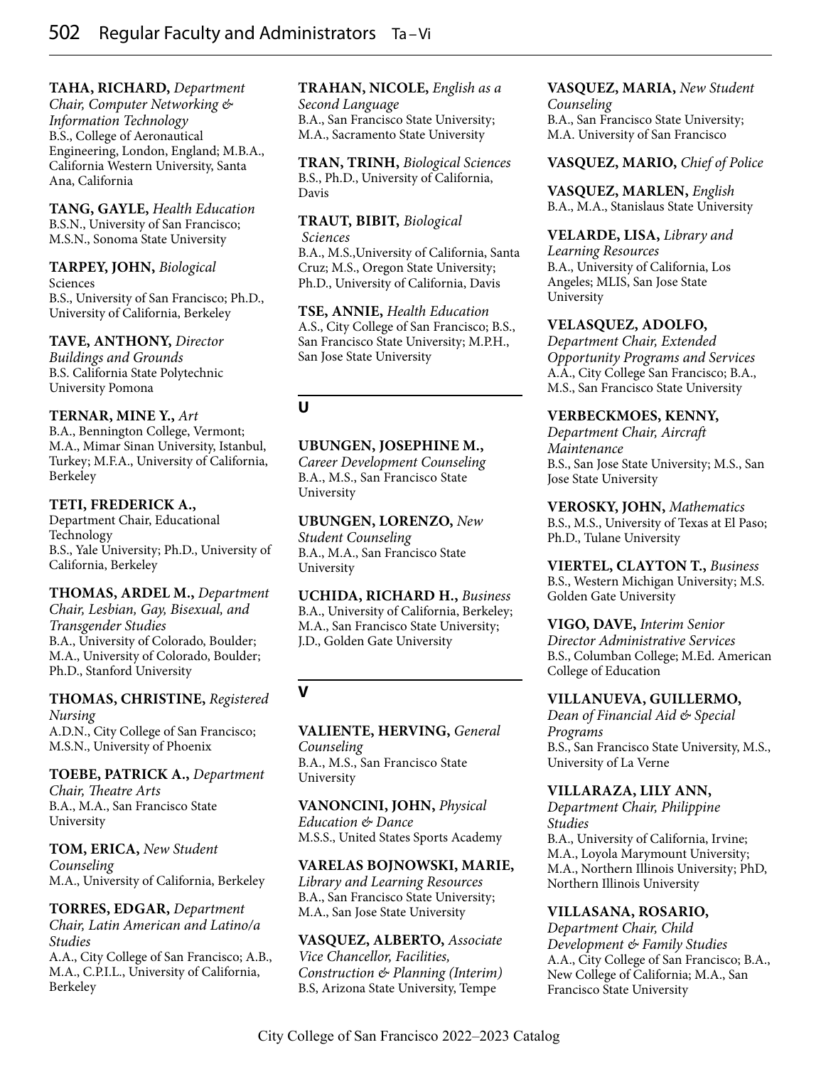**TAHA, RICHARD,** *Department* 

*Chair, Computer Networking & Information Technology* B.S., College of Aeronautical Engineering, London, England; M.B.A., California Western University, Santa Ana, California

**TANG, GAYLE,** *Health Education* B.S.N., University of San Francisco; M.S.N., Sonoma State University

**TARPEY, JOHN,** *Biological*  Sciences B.S., University of San Francisco; Ph.D., University of California, Berkeley

**TAVE, ANTHONY,** *Director Buildings and Grounds* B.S. California State Polytechnic University Pomona

#### **TERNAR, MINE Y.,** *Art* B.A., Bennington College, Vermont; M.A., Mimar Sinan University, Istanbul, Turkey; M.F.A., University of California,

Berkeley **TETI, FREDERICK A.,**

Department Chair, Educational Technology B.S., Yale University; Ph.D., University of California, Berkeley

#### **THOMAS, ARDEL M.,** *Department Chair, Lesbian, Gay, Bisexual, and Transgender Studies*

B.A., University of Colorado, Boulder; M.A., University of Colorado, Boulder; Ph.D., Stanford University

# **THOMAS, CHRISTINE,** *Registered Nursing* A.D.N., City College of San Francisco;

M.S.N., University of Phoenix

## **TOEBE, PATRICK A.,** *Department*

*Chair, Theatre Arts* B.A., M.A., San Francisco State University

**TOM, ERICA,** *New Student Counseling* M.A., University of California, Berkeley

# **TORRES, EDGAR,** *Department*

*Chair, Latin American and Latino/a Studies* A.A., City College of San Francisco; A.B., M.A., C.P.I.L., University of California, Berkeley

# **TRAHAN, NICOLE,** *English as a*

*Second Language* B.A., San Francisco State University; M.A., Sacramento State University

**TRAN, TRINH,** *Biological Sciences* B.S., Ph.D., University of California, Davis

**TRAUT, BIBIT,** *Biological Sciences*

B.A., M.S.,University of California, Santa Cruz; M.S., Oregon State University; Ph.D., University of California, Davis

**TSE, ANNIE,** *Health Education* A.S., City College of San Francisco; B.S., San Francisco State University; M.P.H., San Jose State University

# **U**

# **UBUNGEN, JOSEPHINE M.,**

*Career Development Counseling* B.A., M.S., San Francisco State University

**UBUNGEN, LORENZO,** *New Student Counseling* B.A., M.A., San Francisco State University

**UCHIDA, RICHARD H.,** *Business* B.A., University of California, Berkeley; M.A., San Francisco State University; J.D., Golden Gate University

**V**

**VALIENTE, HERVING,** *General Counseling* B.A., M.S., San Francisco State University

**VANONCINI, JOHN,** *Physical Education & Dance* M.S.S., United States Sports Academy

# **VARELAS BOJNOWSKI, MARIE,**

*Library and Learning Resources* B.A., San Francisco State University; M.A., San Jose State University

**VASQUEZ, ALBERTO,** *Associate Vice Chancellor, Facilities, Construction & Planning (Interim)* B.S, Arizona State University, Tempe

# **VASQUEZ, MARIA,** *New Student*

*Counseling* B.A., San Francisco State University; M.A. University of San Francisco

## **VASQUEZ, MARIO,** *Chief of Police*

**VASQUEZ, MARLEN,** *English* B.A., M.A., Stanislaus State University

**VELARDE, LISA,** *Library and* 

*Learning Resources* B.A., University of California, Los Angeles; MLIS, San Jose State University

# **VELASQUEZ, ADOLFO,**

*Department Chair, Extended Opportunity Programs and Services* A.A., City College San Francisco; B.A., M.S., San Francisco State University

# **VERBECKMOES, KENNY,**

*Department Chair, Aircraft Maintenance* B.S., San Jose State University; M.S., San Jose State University

**VEROSKY, JOHN,** *Mathematics* B.S., M.S., University of Texas at El Paso; Ph.D., Tulane University

**VIERTEL, CLAYTON T.,** *Business* B.S., Western Michigan University; M.S. Golden Gate University

**VIGO, DAVE,** *Interim Senior Director Administrative Services* B.S., Columban College; M.Ed. American College of Education

## **VILLANUEVA, GUILLERMO,**

*Dean of Financial Aid & Special Programs* B.S., San Francisco State University, M.S., University of La Verne

## **VILLARAZA, LILY ANN,**

*Department Chair, Philippine Studies* B.A., University of California, Irvine; M.A., Loyola Marymount University; M.A., Northern Illinois University; PhD, Northern Illinois University

# **VILLASANA, ROSARIO,**

*Department Chair, Child Development & Family Studies* A.A., City College of San Francisco; B.A., New College of California; M.A., San Francisco State University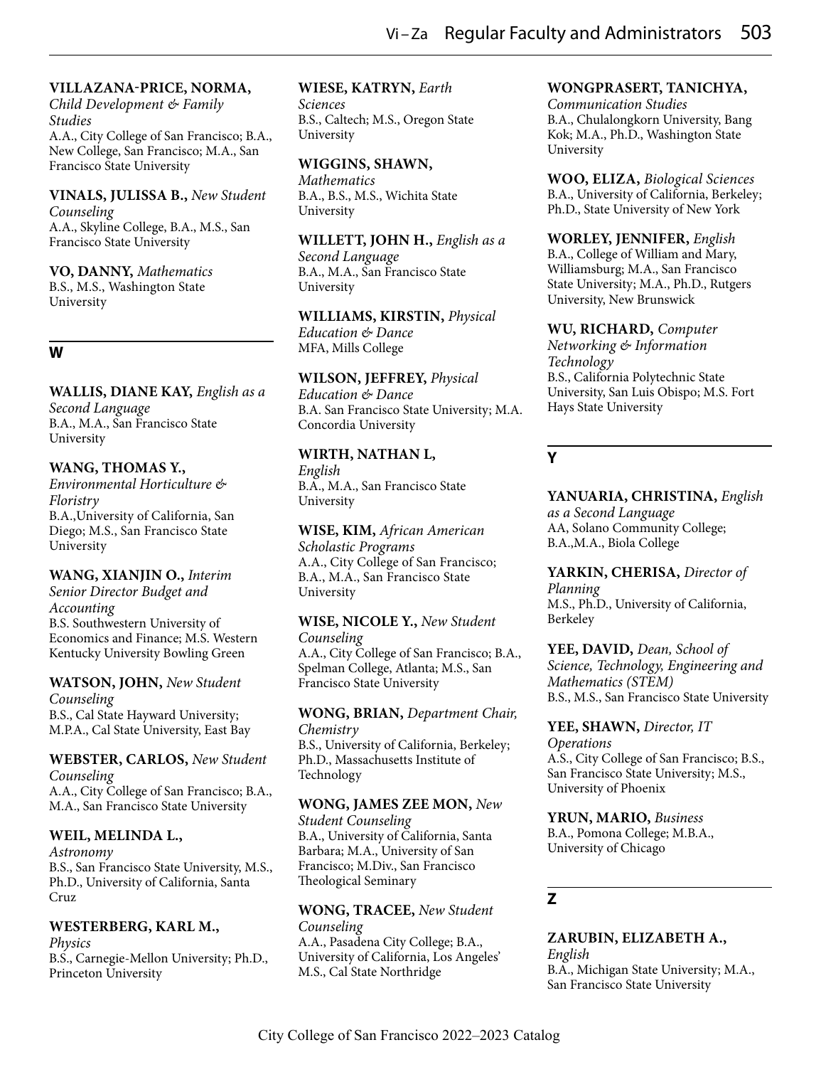#### **VILLAZANA-PRICE, NORMA,**

*Child Development & Family Studies* A.A., City College of San Francisco; B.A., New College, San Francisco; M.A., San Francisco State University

#### **VINALS, JULISSA B.,** *New Student Counseling*

A.A., Skyline College, B.A., M.S., San Francisco State University

# **VO, DANNY,** *Mathematics*

B.S., M.S., Washington State University

## **W**

# **WALLIS, DIANE KAY,** *English as a*

*Second Language* B.A., M.A., San Francisco State University

# **WANG, THOMAS Y.,**

*Environmental Horticulture & Floristry* B.A.,University of California, San Diego; M.S., San Francisco State University

# **WANG, XIANJIN O.,** *Interim*

*Senior Director Budget and Accounting* B.S. Southwestern University of Economics and Finance; M.S. Western Kentucky University Bowling Green

# **WATSON, JOHN,** *New Student*

*Counseling* B.S., Cal State Hayward University; M.P.A., Cal State University, East Bay

#### **WEBSTER, CARLOS,** *New Student Counseling*

A.A., City College of San Francisco; B.A., M.A., San Francisco State University

# **WEIL, MELINDA L.,**

*Astronomy* B.S., San Francisco State University, M.S., Ph.D., University of California, Santa Cruz

## **WESTERBERG, KARL M.,**

*Physics* B.S., Carnegie-Mellon University; Ph.D., Princeton University

## **WIESE, KATRYN,** *Earth*

*Sciences* B.S., Caltech; M.S., Oregon State University

## **WIGGINS, SHAWN,**

*Mathematics* B.A., B.S., M.S., Wichita State University

#### **WILLETT, JOHN H.,** *English as a Second Language* B.A., M.A., San Francisco State

University

**WILLIAMS, KIRSTIN,** *Physical Education & Dance* MFA, Mills College

## **WILSON, JEFFREY,** *Physical*

*Education & Dance* B.A. San Francisco State University; M.A. Concordia University

# **WIRTH, NATHAN L,**

*English* B.A., M.A., San Francisco State University

**WISE, KIM,** *African American Scholastic Programs* A.A., City College of San Francisco; B.A., M.A., San Francisco State University

# **WISE, NICOLE Y.,** *New Student*

*Counseling* A.A., City College of San Francisco; B.A., Spelman College, Atlanta; M.S., San Francisco State University

#### **WONG, BRIAN,** *Department Chair, Chemistry*

B.S., University of California, Berkeley; Ph.D., Massachusetts Institute of Technology

## **WONG, JAMES ZEE MON,** *New*

*Student Counseling* B.A., University of California, Santa Barbara; M.A., University of San Francisco; M.Div., San Francisco Theological Seminary

#### **WONG, TRACEE,** *New Student Counseling*

A.A., Pasadena City College; B.A., University of California, Los Angeles' M.S., Cal State Northridge

# **WONGPRASERT, TANICHYA,**

*Communication Studies* B.A., Chulalongkorn University, Bang Kok; M.A., Ph.D., Washington State University

**WOO, ELIZA,** *Biological Sciences* B.A., University of California, Berkeley; Ph.D., State University of New York

#### **WORLEY, JENNIFER,** *English*

B.A., College of William and Mary, Williamsburg; M.A., San Francisco State University; M.A., Ph.D., Rutgers University, New Brunswick

## **WU, RICHARD,** *Computer*

*Networking & Information Technology* B.S., California Polytechnic State University, San Luis Obispo; M.S. Fort Hays State University

# **Y**

**YANUARIA, CHRISTINA,** *English as a Second Language* AA, Solano Community College; B.A.,M.A., Biola College

**YARKIN, CHERISA,** *Director of Planning* M.S., Ph.D., University of California, Berkeley

**YEE, DAVID,** *Dean, School of Science, Technology, Engineering and Mathematics (STEM)* B.S., M.S., San Francisco State University

# **YEE, SHAWN,** *Director, IT Operations* A.S., City College of San Francisco; B.S.,

San Francisco State University; M.S., University of Phoenix

#### **YRUN, MARIO,** *Business* B.A., Pomona College; M.B.A., University of Chicago

# **Z**

#### **ZARUBIN, ELIZABETH A.,** *English* B.A., Michigan State University; M.A., San Francisco State University